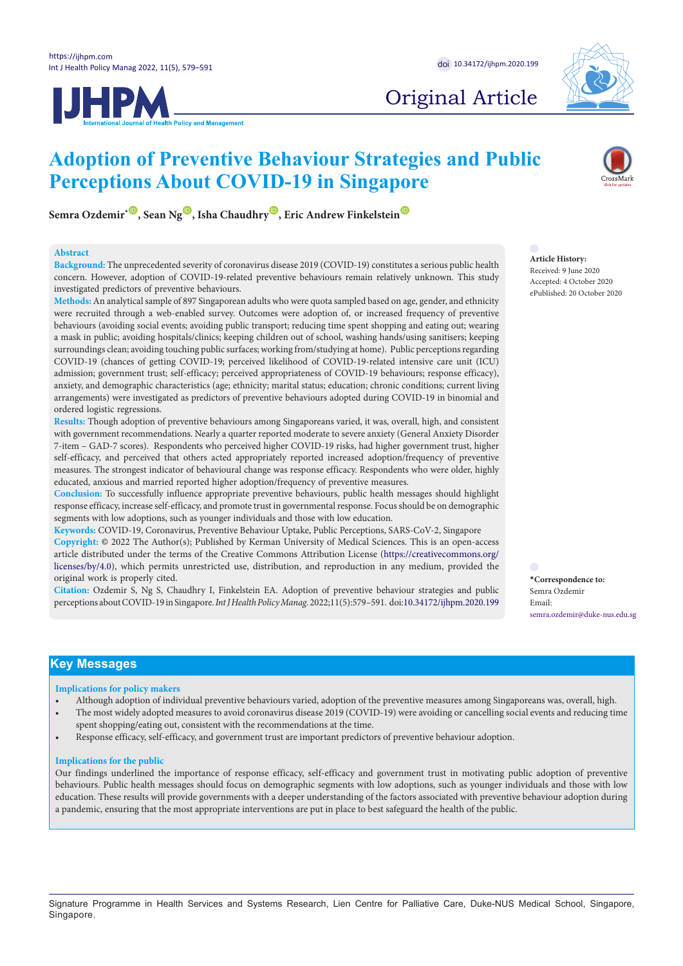



# Original Article

# **Adoption of Preventive Behaviour Strategies and Public Perceptions About COVID-19 in Singapore**



#### **Abstract**

**Background:** The unprecedented severity of coronavirus disease 2019 (COVID-19) constitutes a serious public health concern. However, adoption of COVID-19-related preventive behaviours remain relatively unknown. This study investigated predictors of preventive behaviours.

**Methods:** An analytical sample of 897 Singaporean adults who were quota sampled based on age, gender, and ethnicity were recruited through a web-enabled survey. Outcomes were adoption of, or increased frequency of preventive behaviours (avoiding social events; avoiding public transport; reducing time spent shopping and eating out; wearing a mask in public; avoiding hospitals/clinics; keeping children out of school, washing hands/using sanitisers; keeping surroundings clean; avoiding touching public surfaces; working from/studying at home). Public perceptions regarding COVID-19 (chances of getting COVID-19; perceived likelihood of COVID-19-related intensive care unit (ICU) admission; government trust; self-efficacy; perceived appropriateness of COVID-19 behaviours; response efficacy), anxiety, and demographic characteristics (age; ethnicity; marital status; education; chronic conditions; current living arrangements) were investigated as predictors of preventive behaviours adopted during COVID-19 in binomial and ordered logistic regressions.

**Results:** Though adoption of preventive behaviours among Singaporeans varied, it was, overall, high, and consistent with government recommendations. Nearly a quarter reported moderate to severe anxiety (General Anxiety Disorder 7-item – GAD-7 scores). Respondents who perceived higher COVID-19 risks, had higher government trust, higher self-efficacy, and perceived that others acted appropriately reported increased adoption/frequency of preventive measures. The strongest indicator of behavioural change was response efficacy. Respondents who were older, highly educated, anxious and married reported higher adoption/frequency of preventive measures.

**Conclusion:** To successfully influence appropriate preventive behaviours, public health messages should highlight response efficacy, increase self-efficacy, and promote trust in governmental response. Focus should be on demographic segments with low adoptions, such as younger individuals and those with low education.

**Keywords:** COVID-19, Coronavirus, Preventive Behaviour Uptake, Public Perceptions, SARS-CoV-2, Singapore **Copyright:** © 2022 The Author(s); Published by Kerman University of Medical Sciences. This is an open-access article distributed under the terms of the Creative Commons Attribution License ([https://creativecommons.org/](https://creativecommons.org/licenses/by/4.0) [licenses/by/4.0](https://creativecommons.org/licenses/by/4.0)), which permits unrestricted use, distribution, and reproduction in any medium, provided the original work is properly cited.

**Citation:** Ozdemir S, Ng S, Chaudhry I, Finkelstein EA. Adoption of preventive behaviour strategies and public perceptions about COVID-19 in Singapore. *Int J Health Policy Manag.* 2022;11(5):579–591. doi:[10.34172/ijhpm.2020.199](https://doi.org/10.34172/ijhpm.2020.199)

**Article History:** Received: 9 June 2020

Accepted: 4 October 2020 ePublished: 20 October 2020

<span id="page-0-0"></span>

## **Key Messages**

#### **Implications for policy makers**

- Although adoption of individual preventive behaviours varied, adoption of the preventive measures among Singaporeans was, overall, high. • The most widely adopted measures to avoid coronavirus disease 2019 (COVID-19) were avoiding or cancelling social events and reducing time
- spent shopping/eating out, consistent with the recommendations at the time.
- Response efficacy, self-efficacy, and government trust are important predictors of preventive behaviour adoption.

#### **Implications for the public**

Our findings underlined the importance of response efficacy, self-efficacy and government trust in motivating public adoption of preventive behaviours. Public health messages should focus on demographic segments with low adoptions, such as younger individuals and those with low education. These results will provide governments with a deeper understanding of the factors associated with preventive behaviour adoption during a pandemic, ensuring that the most appropriate interventions are put in place to best safeguard the health of the public.

Signature Programme in Health Services and Systems Research, Lien Centre for Palliative Care, Duke-NUS Medical School, Singapore, Singapore.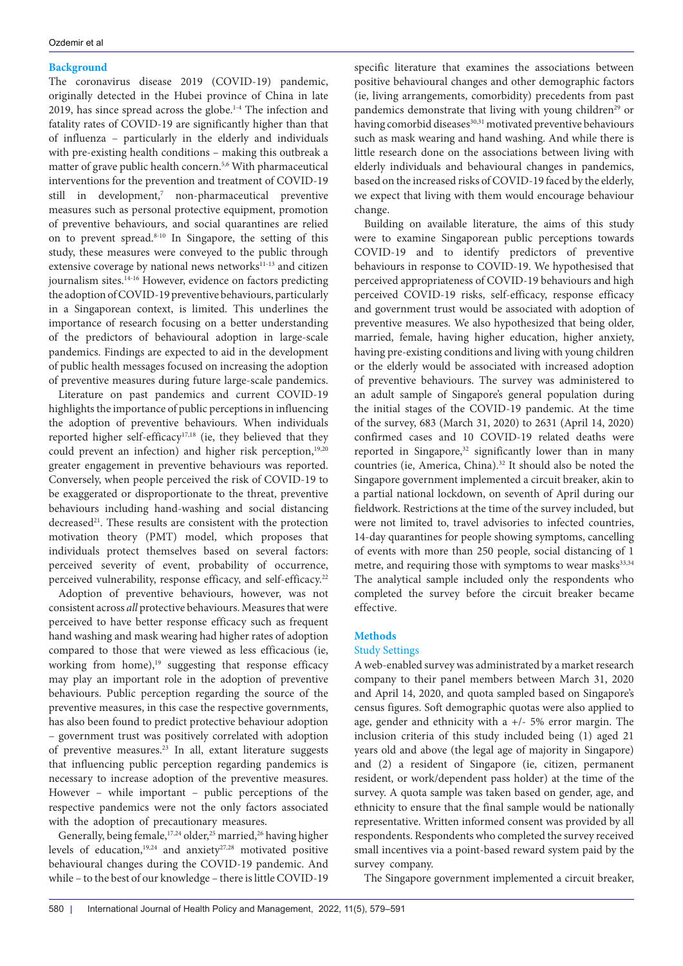## **Background**

The coronavirus disease 2019 (COVID-19) pandemic, originally detected in the Hubei province of China in late 2019, has since spread across the globe.<sup>1-4</sup> The infection and fatality rates of COVID-19 are significantly higher than that of influenza – particularly in the elderly and individuals with pre-existing health conditions – making this outbreak a matter of grave public health concern.5,6 With pharmaceutical interventions for the prevention and treatment of COVID-19 still in development,<sup>7</sup> non-pharmaceutical preventive measures such as personal protective equipment, promotion of preventive behaviours, and social quarantines are relied on to prevent spread.8-10 In Singapore, the setting of this study, these measures were conveyed to the public through extensive coverage by national news networks<sup>11-13</sup> and citizen journalism sites.<sup>14-16</sup> However, evidence on factors predicting the adoption of COVID-19 preventive behaviours, particularly in a Singaporean context, is limited. This underlines the importance of research focusing on a better understanding of the predictors of behavioural adoption in large-scale pandemics. Findings are expected to aid in the development of public health messages focused on increasing the adoption of preventive measures during future large-scale pandemics.

Literature on past pandemics and current COVID-19 highlights the importance of public perceptions in influencing the adoption of preventive behaviours. When individuals reported higher self-efficacy<sup>17,18</sup> (ie, they believed that they could prevent an infection) and higher risk perception,<sup>19,20</sup> greater engagement in preventive behaviours was reported. Conversely, when people perceived the risk of COVID-19 to be exaggerated or disproportionate to the threat, preventive behaviours including hand-washing and social distancing decreased<sup>21</sup>. These results are consistent with the protection motivation theory (PMT) model, which proposes that individuals protect themselves based on several factors: perceived severity of event, probability of occurrence, perceived vulnerability, response efficacy, and self-efficacy.<sup>22</sup>

Adoption of preventive behaviours, however, was not consistent across *all* protective behaviours. Measures that were perceived to have better response efficacy such as frequent hand washing and mask wearing had higher rates of adoption compared to those that were viewed as less efficacious (ie, working from home),<sup>19</sup> suggesting that response efficacy may play an important role in the adoption of preventive behaviours. Public perception regarding the source of the preventive measures, in this case the respective governments, has also been found to predict protective behaviour adoption – government trust was positively correlated with adoption of preventive measures.23 In all, extant literature suggests that influencing public perception regarding pandemics is necessary to increase adoption of the preventive measures. However – while important – public perceptions of the respective pandemics were not the only factors associated with the adoption of precautionary measures.

Generally, being female, 17,24 older, 25 married, 26 having higher levels of education,19,24 and anxiety27,28 motivated positive behavioural changes during the COVID-19 pandemic. And while – to the best of our knowledge – there is little COVID-19

specific literature that examines the associations between positive behavioural changes and other demographic factors (ie, living arrangements, comorbidity) precedents from past pandemics demonstrate that living with young children<sup>29</sup> or having comorbid diseases<sup>30,31</sup> motivated preventive behaviours such as mask wearing and hand washing. And while there is little research done on the associations between living with elderly individuals and behavioural changes in pandemics, based on the increased risks of COVID-19 faced by the elderly, we expect that living with them would encourage behaviour change.

Building on available literature, the aims of this study were to examine Singaporean public perceptions towards COVID-19 and to identify predictors of preventive behaviours in response to COVID-19. We hypothesised that perceived appropriateness of COVID-19 behaviours and high perceived COVID-19 risks, self-efficacy, response efficacy and government trust would be associated with adoption of preventive measures. We also hypothesized that being older, married, female, having higher education, higher anxiety, having pre-existing conditions and living with young children or the elderly would be associated with increased adoption of preventive behaviours. The survey was administered to an adult sample of Singapore's general population during the initial stages of the COVID-19 pandemic. At the time of the survey, 683 (March 31, 2020) to 2631 (April 14, 2020) confirmed cases and 10 COVID-19 related deaths were reported in Singapore,<sup>32</sup> significantly lower than in many countries (ie, America, China).<sup>32</sup> It should also be noted the Singapore government implemented a circuit breaker, akin to a partial national lockdown, on seventh of April during our fieldwork. Restrictions at the time of the survey included, but were not limited to, travel advisories to infected countries, 14-day quarantines for people showing symptoms, cancelling of events with more than 250 people, social distancing of 1 metre, and requiring those with symptoms to wear masks<sup>33,34</sup> The analytical sample included only the respondents who completed the survey before the circuit breaker became effective.

## **Methods**

## Study Settings

A web-enabled survey was administrated by a market research company to their panel members between March 31, 2020 and April 14, 2020, and quota sampled based on Singapore's census figures. Soft demographic quotas were also applied to age, gender and ethnicity with a +/- 5% error margin. The inclusion criteria of this study included being (1) aged 21 years old and above (the legal age of majority in Singapore) and (2) a resident of Singapore (ie, citizen, permanent resident, or work/dependent pass holder) at the time of the survey. A quota sample was taken based on gender, age, and ethnicity to ensure that the final sample would be nationally representative. Written informed consent was provided by all respondents. Respondents who completed the survey received small incentives via a point-based reward system paid by the survey company.

The Singapore government implemented a circuit breaker,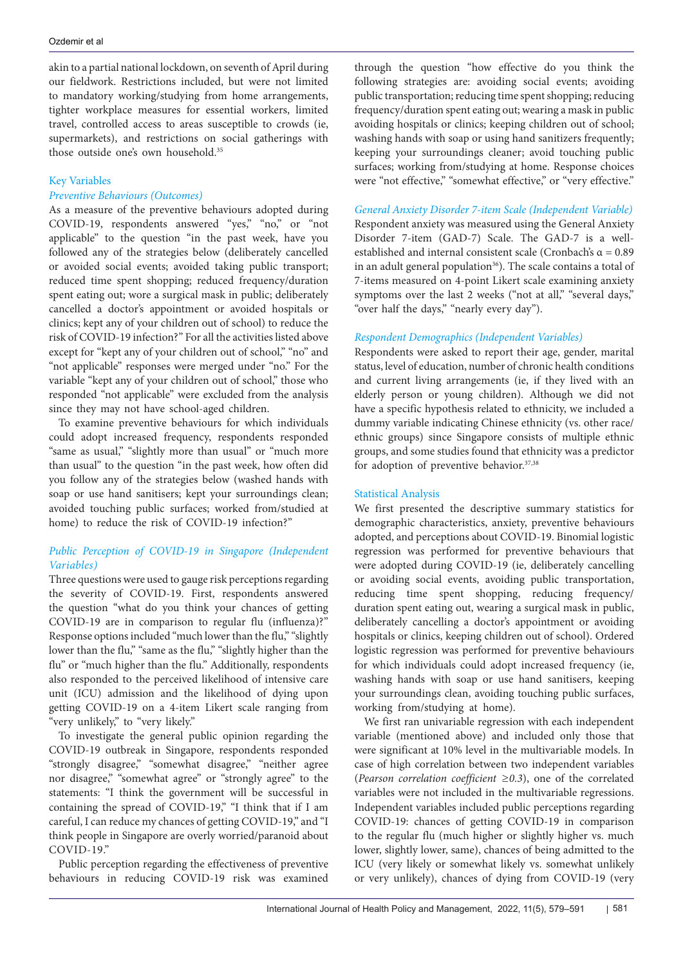akin to a partial national lockdown, on seventh of April during our fieldwork. Restrictions included, but were not limited to mandatory working/studying from home arrangements, tighter workplace measures for essential workers, limited travel, controlled access to areas susceptible to crowds (ie, supermarkets), and restrictions on social gatherings with those outside one's own household.35

## Key Variables

## *Preventive Behaviours (Outcomes)*

As a measure of the preventive behaviours adopted during COVID-19, respondents answered "yes," "no," or "not applicable" to the question "in the past week, have you followed any of the strategies below (deliberately cancelled or avoided social events; avoided taking public transport; reduced time spent shopping; reduced frequency/duration spent eating out; wore a surgical mask in public; deliberately cancelled a doctor's appointment or avoided hospitals or clinics; kept any of your children out of school) to reduce the risk of COVID-19 infection?" For all the activities listed above except for "kept any of your children out of school," "no" and "not applicable" responses were merged under "no." For the variable "kept any of your children out of school," those who responded "not applicable" were excluded from the analysis since they may not have school-aged children.

To examine preventive behaviours for which individuals could adopt increased frequency, respondents responded "same as usual," "slightly more than usual" or "much more than usual" to the question "in the past week, how often did you follow any of the strategies below (washed hands with soap or use hand sanitisers; kept your surroundings clean; avoided touching public surfaces; worked from/studied at home) to reduce the risk of COVID-19 infection?"

## *Public Perception of COVID-19 in Singapore (Independent Variables)*

Three questions were used to gauge risk perceptions regarding the severity of COVID-19. First, respondents answered the question "what do you think your chances of getting COVID-19 are in comparison to regular flu (influenza)?" Response options included "much lower than the flu," "slightly lower than the flu," "same as the flu," "slightly higher than the flu" or "much higher than the flu." Additionally, respondents also responded to the perceived likelihood of intensive care unit (ICU) admission and the likelihood of dying upon getting COVID-19 on a 4-item Likert scale ranging from "very unlikely," to "very likely."

To investigate the general public opinion regarding the COVID-19 outbreak in Singapore, respondents responded "strongly disagree," "somewhat disagree," "neither agree nor disagree," "somewhat agree" or "strongly agree" to the statements: "I think the government will be successful in containing the spread of COVID-19," "I think that if I am careful, I can reduce my chances of getting COVID-19," and "I think people in Singapore are overly worried/paranoid about COVID-19."

Public perception regarding the effectiveness of preventive behaviours in reducing COVID-19 risk was examined

through the question "how effective do you think the following strategies are: avoiding social events; avoiding public transportation; reducing time spent shopping; reducing frequency/duration spent eating out; wearing a mask in public avoiding hospitals or clinics; keeping children out of school; washing hands with soap or using hand sanitizers frequently; keeping your surroundings cleaner; avoid touching public surfaces; working from/studying at home. Response choices were "not effective," "somewhat effective," or "very effective."

## *General Anxiety Disorder 7-item Scale (Independent Variable)*

Respondent anxiety was measured using the General Anxiety Disorder 7-item (GAD-7) Scale. The GAD-7 is a wellestablished and internal consistent scale (Cronbach's  $\alpha = 0.89$ in an adult general population<sup>36</sup>). The scale contains a total of 7-items measured on 4-point Likert scale examining anxiety symptoms over the last 2 weeks ("not at all," "several days," "over half the days," "nearly every day").

## *Respondent Demographics (Independent Variables)*

Respondents were asked to report their age, gender, marital status, level of education, number of chronic health conditions and current living arrangements (ie, if they lived with an elderly person or young children). Although we did not have a specific hypothesis related to ethnicity, we included a dummy variable indicating Chinese ethnicity (vs. other race/ ethnic groups) since Singapore consists of multiple ethnic groups, and some studies found that ethnicity was a predictor for adoption of preventive behavior.<sup>37,38</sup>

## Statistical Analysis

We first presented the descriptive summary statistics for demographic characteristics, anxiety, preventive behaviours adopted, and perceptions about COVID-19. Binomial logistic regression was performed for preventive behaviours that were adopted during COVID-19 (ie, deliberately cancelling or avoiding social events, avoiding public transportation, reducing time spent shopping, reducing frequency/ duration spent eating out, wearing a surgical mask in public, deliberately cancelling a doctor's appointment or avoiding hospitals or clinics, keeping children out of school). Ordered logistic regression was performed for preventive behaviours for which individuals could adopt increased frequency (ie, washing hands with soap or use hand sanitisers, keeping your surroundings clean, avoiding touching public surfaces, working from/studying at home).

We first ran univariable regression with each independent variable (mentioned above) and included only those that were significant at 10% level in the multivariable models. In case of high correlation between two independent variables (*Pearson correlation coefficient ≥0.3*), one of the correlated variables were not included in the multivariable regressions. Independent variables included public perceptions regarding COVID-19: chances of getting COVID-19 in comparison to the regular flu (much higher or slightly higher vs. much lower, slightly lower, same), chances of being admitted to the ICU (very likely or somewhat likely vs. somewhat unlikely or very unlikely), chances of dying from COVID-19 (very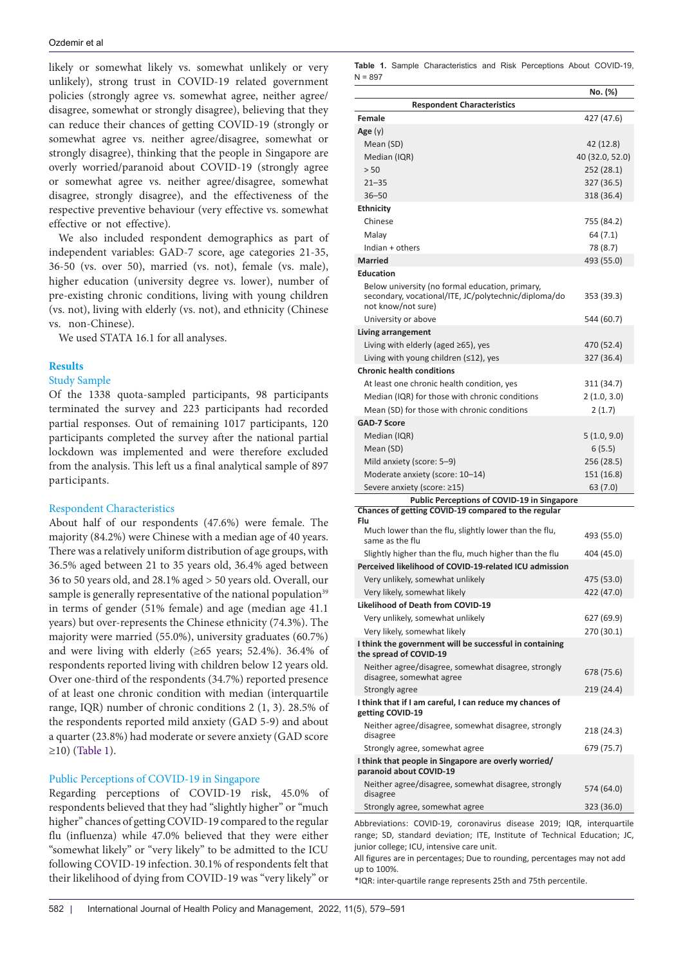likely or somewhat likely vs. somewhat unlikely or very unlikely), strong trust in COVID-19 related government policies (strongly agree vs. somewhat agree, neither agree/ disagree, somewhat or strongly disagree), believing that they can reduce their chances of getting COVID-19 (strongly or somewhat agree vs. neither agree/disagree, somewhat or strongly disagree), thinking that the people in Singapore are overly worried/paranoid about COVID-19 (strongly agree or somewhat agree vs. neither agree/disagree, somewhat disagree, strongly disagree), and the effectiveness of the respective preventive behaviour (very effective vs. somewhat effective or not effective).

We also included respondent demographics as part of independent variables: GAD-7 score, age categories 21-35, 36-50 (vs. over 50), married (vs. not), female (vs. male), higher education (university degree vs. lower), number of pre-existing chronic conditions, living with young children (vs. not), living with elderly (vs. not), and ethnicity (Chinese vs. non-Chinese).

We used STATA 16.1 for all analyses.

## **Results**

## Study Sample

Of the 1338 quota-sampled participants, 98 participants terminated the survey and 223 participants had recorded partial responses. Out of remaining 1017 participants, 120 participants completed the survey after the national partial lockdown was implemented and were therefore excluded from the analysis. This left us a final analytical sample of 897 participants.

## Respondent Characteristics

About half of our respondents (47.6%) were female. The majority (84.2%) were Chinese with a median age of 40 years. There was a relatively uniform distribution of age groups, with 36.5% aged between 21 to 35 years old, 36.4% aged between 36 to 50 years old, and 28.1% aged > 50 years old. Overall, our sample is generally representative of the national population<sup>39</sup> in terms of gender (51% female) and age (median age 41.1 years) but over-represents the Chinese ethnicity (74.3%). The majority were married (55.0%), university graduates (60.7%) and were living with elderly ( $\geq 65$  years; 52.4%). 36.4% of respondents reported living with children below 12 years old. Over one-third of the respondents (34.7%) reported presence of at least one chronic condition with median (interquartile range, IQR) number of chronic conditions 2 (1, 3). 28.5% of the respondents reported mild anxiety (GAD 5-9) and about a quarter (23.8%) had moderate or severe anxiety (GAD score ≥10) [\(Table 1\)](#page-3-0).

## Public Perceptions of COVID-19 in Singapore

Regarding perceptions of COVID-19 risk, 45.0% of respondents believed that they had "slightly higher" or "much higher" chances of getting COVID-19 compared to the regular flu (influenza) while 47.0% believed that they were either "somewhat likely" or "very likely" to be admitted to the ICU following COVID-19 infection. 30.1% of respondents felt that their likelihood of dying from COVID-19 was "very likely" or

<span id="page-3-0"></span>**Table 1.** Sample Characteristics and Risk Perceptions About COVID-19,  $N = 897$ 

|                                                                                                                               | No. (%)         |
|-------------------------------------------------------------------------------------------------------------------------------|-----------------|
| <b>Respondent Characteristics</b>                                                                                             |                 |
| <b>Female</b>                                                                                                                 | 427 (47.6)      |
|                                                                                                                               |                 |
| Age(y)                                                                                                                        |                 |
| Mean (SD)                                                                                                                     | 42 (12.8)       |
| Median (IQR)                                                                                                                  | 40 (32.0, 52.0) |
| > 50                                                                                                                          | 252 (28.1)      |
| $21 - 35$                                                                                                                     | 327 (36.5)      |
| $36 - 50$                                                                                                                     | 318 (36.4)      |
| <b>Ethnicity</b>                                                                                                              |                 |
| Chinese                                                                                                                       | 755 (84.2)      |
| Malay                                                                                                                         | 64 (7.1)        |
| Indian + others                                                                                                               | 78 (8.7)        |
| <b>Married</b>                                                                                                                | 493 (55.0)      |
| <b>Education</b>                                                                                                              |                 |
| Below university (no formal education, primary,<br>secondary, vocational/ITE, JC/polytechnic/diploma/do<br>not know/not sure) | 353 (39.3)      |
| University or above                                                                                                           | 544 (60.7)      |
| Living arrangement                                                                                                            |                 |
| Living with elderly (aged $\geq$ 65), yes                                                                                     | 470 (52.4)      |
| Living with young children $(\leq 12)$ , yes                                                                                  | 327 (36.4)      |
| <b>Chronic health conditions</b>                                                                                              |                 |
| At least one chronic health condition, yes                                                                                    | 311 (34.7)      |
| Median (IQR) for those with chronic conditions                                                                                | 2(1.0, 3.0)     |
| Mean (SD) for those with chronic conditions                                                                                   | 2(1.7)          |
| <b>GAD-7 Score</b>                                                                                                            |                 |
| Median (IQR)                                                                                                                  | 5(1.0, 9.0)     |
|                                                                                                                               |                 |
| Mean (SD)                                                                                                                     | 6(5.5)          |
| Mild anxiety (score: 5–9)                                                                                                     | 256 (28.5)      |
| Moderate anxiety (score: 10-14)                                                                                               | 151 (16.8)      |
| Severe anxiety (score: ≥15)                                                                                                   | 63 (7.0)        |
| <b>Public Perceptions of COVID-19 in Singapore</b><br>Chances of getting COVID-19 compared to the regular                     |                 |
| Flu                                                                                                                           |                 |
| Much lower than the flu, slightly lower than the flu,<br>same as the flu                                                      | 493 (55.0)      |
| Slightly higher than the flu, much higher than the flu                                                                        | 404 (45.0)      |
| Perceived likelihood of COVID-19-related ICU admission                                                                        |                 |
| Very unlikely, somewhat unlikely                                                                                              | 475 (53.0)      |
| Very likely, somewhat likely                                                                                                  | 422 (47.0)      |
| <b>Likelihood of Death from COVID-19</b>                                                                                      |                 |
| Very unlikely, somewhat unlikely                                                                                              | 627 (69.9)      |
| Very likely, somewhat likely                                                                                                  | 270 (30.1)      |
| I think the government will be successful in containing<br>the spread of COVID-19                                             |                 |
| Neither agree/disagree, somewhat disagree, strongly<br>disagree, somewhat agree                                               | 678 (75.6)      |
| Strongly agree                                                                                                                | 219 (24.4)      |
| I think that if I am careful, I can reduce my chances of<br>getting COVID-19                                                  |                 |
| Neither agree/disagree, somewhat disagree, strongly<br>disagree                                                               | 218 (24.3)      |
| Strongly agree, somewhat agree                                                                                                | 679 (75.7)      |
| I think that people in Singapore are overly worried/<br>paranoid about COVID-19                                               |                 |
| Neither agree/disagree, somewhat disagree, strongly<br>disagree                                                               | 574 (64.0)      |
| Strongly agree, somewhat agree                                                                                                | 323 (36.0)      |

Abbreviations: COVID-19, coronavirus disease 2019; IQR, interquartile range; SD, standard deviation; ITE, Institute of Technical Education; JC, junior college; ICU, intensive care unit.

All figures are in percentages; Due to rounding, percentages may not add up to 100%.

\*IQR: inter-quartile range represents 25th and 75th percentile.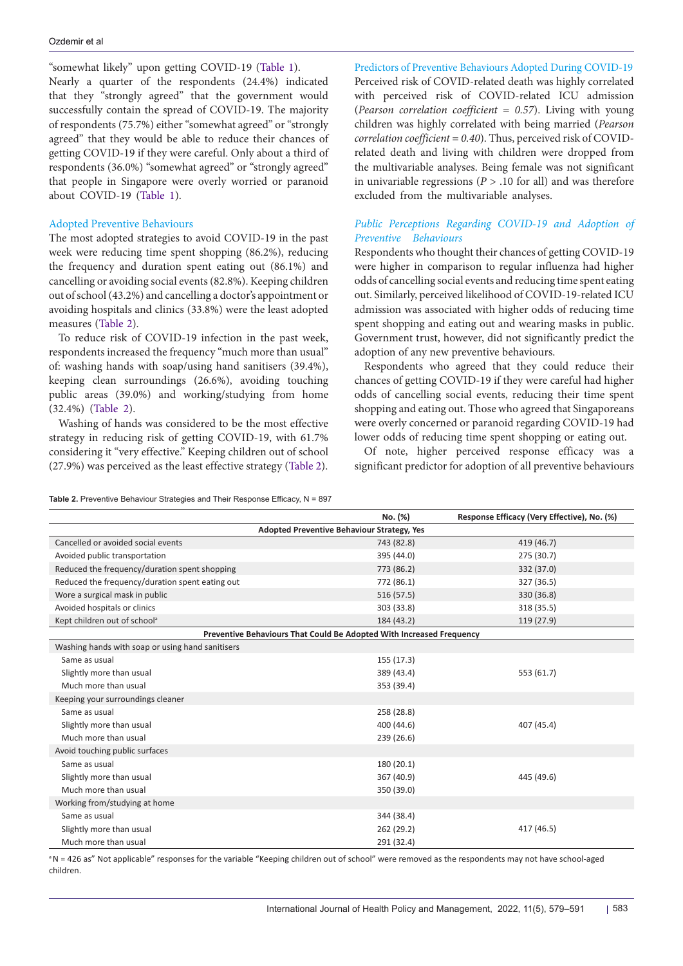"somewhat likely" upon getting COVID-19 ([Table 1](#page-3-0)). Nearly a quarter of the respondents (24.4%) indicated that they "strongly agreed" that the government would successfully contain the spread of COVID-19. The majority of respondents (75.7%) either "somewhat agreed" or "strongly agreed" that they would be able to reduce their chances of getting COVID-19 if they were careful. Only about a third of respondents (36.0%) "somewhat agreed" or "strongly agreed" that people in Singapore were overly worried or paranoid about COVID-19 [\(Table 1\)](#page-3-0).

## Adopted Preventive Behaviours

The most adopted strategies to avoid COVID-19 in the past week were reducing time spent shopping (86.2%), reducing the frequency and duration spent eating out (86.1%) and cancelling or avoiding social events (82.8%). Keeping children out of school (43.2%) and cancelling a doctor's appointment or avoiding hospitals and clinics (33.8%) were the least adopted measures [\(Table 2](#page-4-0)).

To reduce risk of COVID-19 infection in the past week, respondents increased the frequency "much more than usual" of: washing hands with soap/using hand sanitisers (39.4%), keeping clean surroundings (26.6%), avoiding touching public areas (39.0%) and working/studying from home (32.4%) ([Table 2](#page-4-0)).

Washing of hands was considered to be the most effective strategy in reducing risk of getting COVID-19, with 61.7% considering it "very effective." Keeping children out of school (27.9%) was perceived as the least effective strategy ([Table 2](#page-4-0)).

Predictors of Preventive Behaviours Adopted During COVID-19 Perceived risk of COVID-related death was highly correlated with perceived risk of COVID-related ICU admission (*Pearson correlation coefficient = 0.57*). Living with young children was highly correlated with being married (*Pearson correlation coefficient = 0.40*). Thus, perceived risk of COVIDrelated death and living with children were dropped from the multivariable analyses. Being female was not significant in univariable regressions (*P* > .10 for all) and was therefore excluded from the multivariable analyses.

## Public Perceptions Regarding COVID-19 and Adoption of *Preventive Behaviours*

Respondents who thought their chances of getting COVID-19 were higher in comparison to regular influenza had higher odds of cancelling social events and reducing time spent eating out. Similarly, perceived likelihood of COVID-19-related ICU admission was associated with higher odds of reducing time spent shopping and eating out and wearing masks in public. Government trust, however, did not significantly predict the adoption of any new preventive behaviours.

Respondents who agreed that they could reduce their chances of getting COVID-19 if they were careful had higher odds of cancelling social events, reducing their time spent shopping and eating out. Those who agreed that Singaporeans were overly concerned or paranoid regarding COVID-19 had lower odds of reducing time spent shopping or eating out.

Of note, higher perceived response efficacy was a significant predictor for adoption of all preventive behaviours

#### <span id="page-4-0"></span>**Table 2.** Preventive Behaviour Strategies and Their Response Efficacy, N = 897

|                                                                      | No. (%)    | Response Efficacy (Very Effective), No. (%) |  |  |  |  |
|----------------------------------------------------------------------|------------|---------------------------------------------|--|--|--|--|
| Adopted Preventive Behaviour Strategy, Yes                           |            |                                             |  |  |  |  |
| Cancelled or avoided social events                                   | 743 (82.8) | 419 (46.7)                                  |  |  |  |  |
| Avoided public transportation                                        | 395 (44.0) | 275 (30.7)                                  |  |  |  |  |
| Reduced the frequency/duration spent shopping                        | 773 (86.2) | 332 (37.0)                                  |  |  |  |  |
| Reduced the frequency/duration spent eating out                      | 772 (86.1) | 327 (36.5)                                  |  |  |  |  |
| Wore a surgical mask in public                                       | 516 (57.5) | 330 (36.8)                                  |  |  |  |  |
| Avoided hospitals or clinics                                         | 303 (33.8) | 318 (35.5)                                  |  |  |  |  |
| Kept children out of school <sup>a</sup>                             | 184 (43.2) | 119 (27.9)                                  |  |  |  |  |
| Preventive Behaviours That Could Be Adopted With Increased Frequency |            |                                             |  |  |  |  |
| Washing hands with soap or using hand sanitisers                     |            |                                             |  |  |  |  |
| Same as usual                                                        | 155 (17.3) |                                             |  |  |  |  |
| Slightly more than usual                                             | 389 (43.4) | 553 (61.7)                                  |  |  |  |  |
| Much more than usual                                                 | 353 (39.4) |                                             |  |  |  |  |
| Keeping your surroundings cleaner                                    |            |                                             |  |  |  |  |
| Same as usual                                                        | 258 (28.8) |                                             |  |  |  |  |
| Slightly more than usual                                             | 400 (44.6) | 407 (45.4)                                  |  |  |  |  |
| Much more than usual                                                 | 239 (26.6) |                                             |  |  |  |  |
| Avoid touching public surfaces                                       |            |                                             |  |  |  |  |
| Same as usual                                                        | 180 (20.1) |                                             |  |  |  |  |
| Slightly more than usual                                             | 367 (40.9) | 445 (49.6)                                  |  |  |  |  |
| Much more than usual                                                 | 350 (39.0) |                                             |  |  |  |  |
| Working from/studying at home                                        |            |                                             |  |  |  |  |
| Same as usual                                                        | 344 (38.4) |                                             |  |  |  |  |
| Slightly more than usual                                             | 262 (29.2) | 417 (46.5)                                  |  |  |  |  |
| Much more than usual                                                 | 291 (32.4) |                                             |  |  |  |  |

<sup>a</sup>N = 426 as" Not applicable" responses for the variable "Keeping children out of school" were removed as the respondents may not have school-aged children.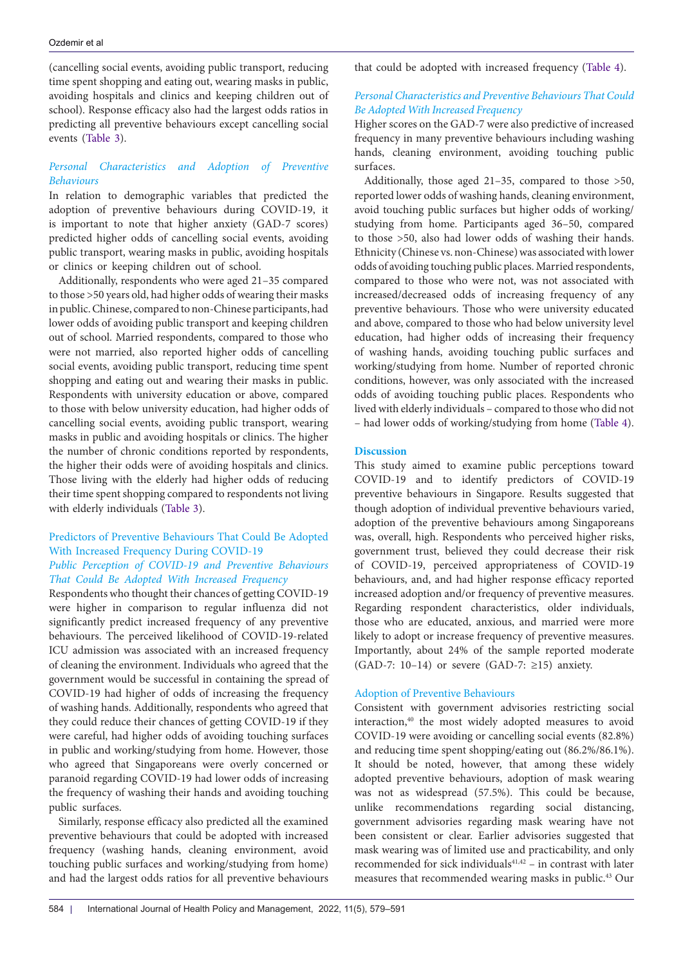(cancelling social events, avoiding public transport, reducing time spent shopping and eating out, wearing masks in public, avoiding hospitals and clinics and keeping children out of school). Response efficacy also had the largest odds ratios in predicting all preventive behaviours except cancelling social events ([Table 3\)](#page-6-0).

## *Personal Characteristics and Adoption of Preventive Behaviours*

In relation to demographic variables that predicted the adoption of preventive behaviours during COVID-19, it is important to note that higher anxiety (GAD-7 scores) predicted higher odds of cancelling social events, avoiding public transport, wearing masks in public, avoiding hospitals or clinics or keeping children out of school.

Additionally, respondents who were aged 21–35 compared to those >50 years old, had higher odds of wearing their masks in public. Chinese, compared to non-Chinese participants, had lower odds of avoiding public transport and keeping children out of school. Married respondents, compared to those who were not married, also reported higher odds of cancelling social events, avoiding public transport, reducing time spent shopping and eating out and wearing their masks in public. Respondents with university education or above, compared to those with below university education, had higher odds of cancelling social events, avoiding public transport, wearing masks in public and avoiding hospitals or clinics. The higher the number of chronic conditions reported by respondents, the higher their odds were of avoiding hospitals and clinics. Those living with the elderly had higher odds of reducing their time spent shopping compared to respondents not living with elderly individuals [\(Table 3](#page-6-0)).

# Predictors of Preventive Behaviours That Could Be Adopted With Increased Frequency During COVID-19 *Public Perception of COVID-19 and Preventive Behaviours*

*That Could Be Adopted With Increased Frequency* Respondents who thought their chances of getting COVID-19 were higher in comparison to regular influenza did not significantly predict increased frequency of any preventive behaviours. The perceived likelihood of COVID-19-related ICU admission was associated with an increased frequency of cleaning the environment. Individuals who agreed that the government would be successful in containing the spread of COVID-19 had higher of odds of increasing the frequency of washing hands. Additionally, respondents who agreed that they could reduce their chances of getting COVID-19 if they were careful, had higher odds of avoiding touching surfaces in public and working/studying from home. However, those who agreed that Singaporeans were overly concerned or paranoid regarding COVID-19 had lower odds of increasing the frequency of washing their hands and avoiding touching public surfaces.

Similarly, response efficacy also predicted all the examined preventive behaviours that could be adopted with increased frequency (washing hands, cleaning environment, avoid touching public surfaces and working/studying from home) and had the largest odds ratios for all preventive behaviours

that could be adopted with increased frequency ([Table 4](#page-8-0)).

## *Personal Characteristics and Preventive Behaviours That Could Be Adopted With Increased Frequency*

Higher scores on the GAD-7 were also predictive of increased frequency in many preventive behaviours including washing hands, cleaning environment, avoiding touching public surfaces.

Additionally, those aged 21–35, compared to those >50, reported lower odds of washing hands, cleaning environment, avoid touching public surfaces but higher odds of working/ studying from home. Participants aged 36–50, compared to those >50, also had lower odds of washing their hands. Ethnicity (Chinese vs. non-Chinese) was associated with lower odds of avoiding touching public places. Married respondents, compared to those who were not, was not associated with increased/decreased odds of increasing frequency of any preventive behaviours. Those who were university educated and above, compared to those who had below university level education, had higher odds of increasing their frequency of washing hands, avoiding touching public surfaces and working/studying from home. Number of reported chronic conditions, however, was only associated with the increased odds of avoiding touching public places. Respondents who lived with elderly individuals – compared to those who did not – had lower odds of working/studying from home [\(Table 4](#page-8-0)).

## **Discussion**

This study aimed to examine public perceptions toward COVID-19 and to identify predictors of COVID-19 preventive behaviours in Singapore. Results suggested that though adoption of individual preventive behaviours varied, adoption of the preventive behaviours among Singaporeans was, overall, high. Respondents who perceived higher risks, government trust, believed they could decrease their risk of COVID-19, perceived appropriateness of COVID-19 behaviours, and, and had higher response efficacy reported increased adoption and/or frequency of preventive measures. Regarding respondent characteristics, older individuals, those who are educated, anxious, and married were more likely to adopt or increase frequency of preventive measures. Importantly, about 24% of the sample reported moderate (GAD-7: 10–14) or severe (GAD-7: ≥15) anxiety.

## Adoption of Preventive Behaviours

Consistent with government advisories restricting social interaction,<sup>40</sup> the most widely adopted measures to avoid COVID-19 were avoiding or cancelling social events (82.8%) and reducing time spent shopping/eating out (86.2%/86.1%). It should be noted, however, that among these widely adopted preventive behaviours, adoption of mask wearing was not as widespread (57.5%). This could be because, unlike recommendations regarding social distancing, government advisories regarding mask wearing have not been consistent or clear. Earlier advisories suggested that mask wearing was of limited use and practicability, and only recommended for sick individuals $41,42$  – in contrast with later measures that recommended wearing masks in public.43 Our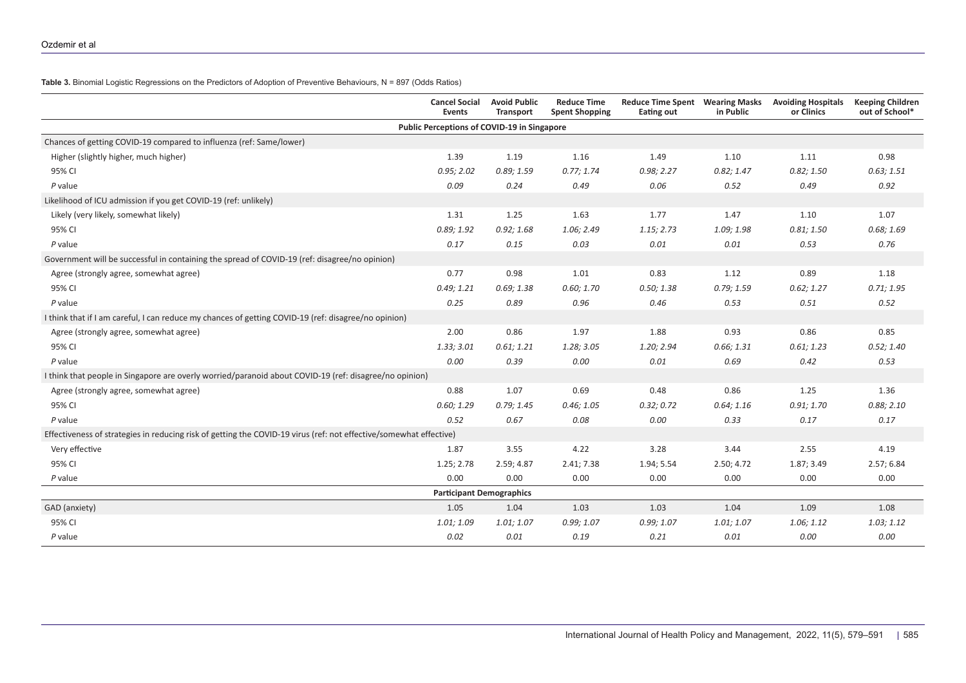**Table 3.** Binomial Logistic Regressions on the Predictors of Adoption of Preventive Behaviours, N = 897 (Odds Ratios)

<span id="page-6-0"></span>

|                                                                                                                    | <b>Cancel Social</b><br>Events              | <b>Avoid Public</b><br><b>Transport</b> | <b>Reduce Time</b><br><b>Spent Shopping</b> | <b>Reduce Time Spent</b><br><b>Eating out</b> | <b>Wearing Masks</b><br>in Public | <b>Avoiding Hospitals</b><br>or Clinics | <b>Keeping Children</b><br>out of School* |
|--------------------------------------------------------------------------------------------------------------------|---------------------------------------------|-----------------------------------------|---------------------------------------------|-----------------------------------------------|-----------------------------------|-----------------------------------------|-------------------------------------------|
|                                                                                                                    | Public Perceptions of COVID-19 in Singapore |                                         |                                             |                                               |                                   |                                         |                                           |
| Chances of getting COVID-19 compared to influenza (ref: Same/lower)                                                |                                             |                                         |                                             |                                               |                                   |                                         |                                           |
| Higher (slightly higher, much higher)                                                                              | 1.39                                        | 1.19                                    | 1.16                                        | 1.49                                          | 1.10                              | 1.11                                    | 0.98                                      |
| 95% CI                                                                                                             | 0.95; 2.02                                  | 0.89; 1.59                              | 0.77; 1.74                                  | 0.98; 2.27                                    | 0.82; 1.47                        | 0.82; 1.50                              | 0.63; 1.51                                |
| $P$ value                                                                                                          | 0.09                                        | 0.24                                    | 0.49                                        | 0.06                                          | 0.52                              | 0.49                                    | 0.92                                      |
| Likelihood of ICU admission if you get COVID-19 (ref: unlikely)                                                    |                                             |                                         |                                             |                                               |                                   |                                         |                                           |
| Likely (very likely, somewhat likely)                                                                              | 1.31                                        | 1.25                                    | 1.63                                        | 1.77                                          | 1.47                              | 1.10                                    | 1.07                                      |
| 95% CI                                                                                                             | 0.89; 1.92                                  | 0.92; 1.68                              | 1.06; 2.49                                  | 1.15; 2.73                                    | 1.09; 1.98                        | 0.81; 1.50                              | 0.68; 1.69                                |
| $P$ value                                                                                                          | 0.17                                        | 0.15                                    | 0.03                                        | 0.01                                          | 0.01                              | 0.53                                    | 0.76                                      |
| Government will be successful in containing the spread of COVID-19 (ref: disagree/no opinion)                      |                                             |                                         |                                             |                                               |                                   |                                         |                                           |
| Agree (strongly agree, somewhat agree)                                                                             | 0.77                                        | 0.98                                    | 1.01                                        | 0.83                                          | 1.12                              | 0.89                                    | 1.18                                      |
| 95% CI                                                                                                             | 0.49; 1.21                                  | 0.69; 1.38                              | 0.60; 1.70                                  | 0.50; 1.38                                    | 0.79; 1.59                        | 0.62; 1.27                              | 0.71; 1.95                                |
| $P$ value                                                                                                          | 0.25                                        | 0.89                                    | 0.96                                        | 0.46                                          | 0.53                              | 0.51                                    | 0.52                                      |
| I think that if I am careful, I can reduce my chances of getting COVID-19 (ref: disagree/no opinion)               |                                             |                                         |                                             |                                               |                                   |                                         |                                           |
| Agree (strongly agree, somewhat agree)                                                                             | 2.00                                        | 0.86                                    | 1.97                                        | 1.88                                          | 0.93                              | 0.86                                    | 0.85                                      |
| 95% CI                                                                                                             | 1.33; 3.01                                  | 0.61; 1.21                              | 1.28; 3.05                                  | 1.20; 2.94                                    | 0.66; 1.31                        | 0.61; 1.23                              | 0.52; 1.40                                |
| $P$ value                                                                                                          | 0.00                                        | 0.39                                    | 0.00                                        | 0.01                                          | 0.69                              | 0.42                                    | 0.53                                      |
| I think that people in Singapore are overly worried/paranoid about COVID-19 (ref: disagree/no opinion)             |                                             |                                         |                                             |                                               |                                   |                                         |                                           |
| Agree (strongly agree, somewhat agree)                                                                             | 0.88                                        | 1.07                                    | 0.69                                        | 0.48                                          | 0.86                              | 1.25                                    | 1.36                                      |
| 95% CI                                                                                                             | 0.60; 1.29                                  | 0.79; 1.45                              | 0.46; 1.05                                  | 0.32; 0.72                                    | 0.64; 1.16                        | 0.91; 1.70                              | 0.88; 2.10                                |
| $P$ value                                                                                                          | 0.52                                        | 0.67                                    | 0.08                                        | 0.00                                          | 0.33                              | 0.17                                    | 0.17                                      |
| Effectiveness of strategies in reducing risk of getting the COVID-19 virus (ref: not effective/somewhat effective) |                                             |                                         |                                             |                                               |                                   |                                         |                                           |
| Very effective                                                                                                     | 1.87                                        | 3.55                                    | 4.22                                        | 3.28                                          | 3.44                              | 2.55                                    | 4.19                                      |
| 95% CI                                                                                                             | 1.25; 2.78                                  | 2.59; 4.87                              | 2.41; 7.38                                  | 1.94; 5.54                                    | 2.50; 4.72                        | 1.87; 3.49                              | 2.57; 6.84                                |
| P value                                                                                                            | 0.00                                        | 0.00                                    | 0.00                                        | 0.00                                          | 0.00                              | 0.00                                    | 0.00                                      |
|                                                                                                                    | <b>Participant Demographics</b>             |                                         |                                             |                                               |                                   |                                         |                                           |
| GAD (anxiety)                                                                                                      | 1.05                                        | 1.04                                    | 1.03                                        | 1.03                                          | 1.04                              | 1.09                                    | 1.08                                      |
| 95% CI                                                                                                             | 1.01; 1.09                                  | 1.01; 1.07                              | 0.99; 1.07                                  | 0.99; 1.07                                    | 1.01; 1.07                        | 1.06; 1.12                              | 1.03; 1.12                                |
| P value                                                                                                            | 0.02                                        | 0.01                                    | 0.19                                        | 0.21                                          | 0.01                              | 0.00                                    | 0.00                                      |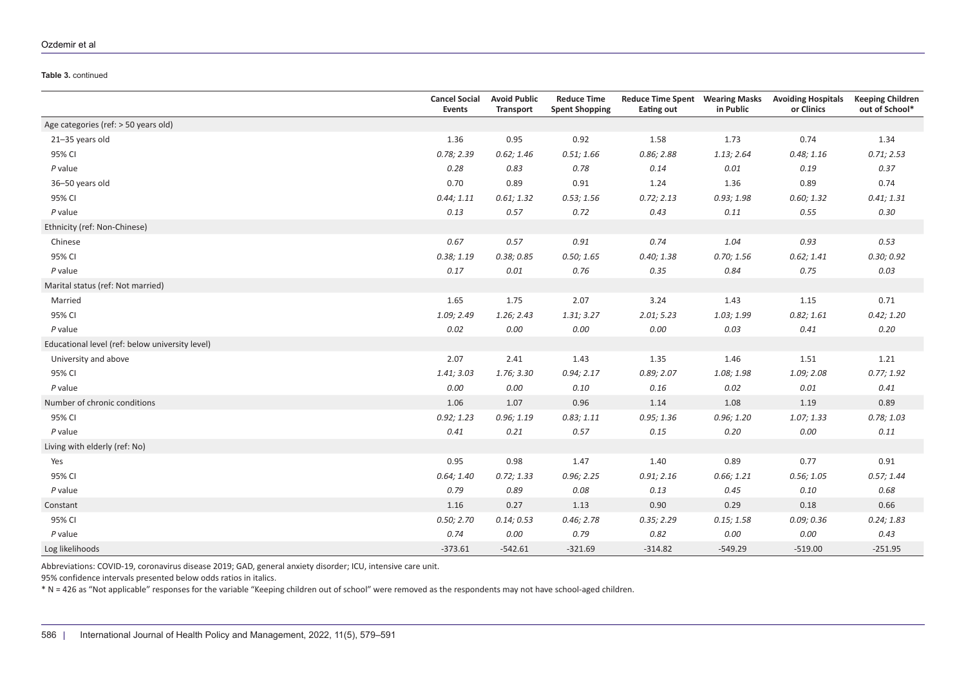#### Ozdemir et al

#### **Table 3.** continued

|                                                 | <b>Cancel Social</b><br><b>Events</b> | <b>Avoid Public</b><br><b>Transport</b> | <b>Reduce Time</b><br><b>Spent Shopping</b> | <b>Reduce Time Spent Wearing Masks</b><br><b>Eating out</b> | in Public  | <b>Avoiding Hospitals</b><br>or Clinics | <b>Keeping Children</b><br>out of School* |
|-------------------------------------------------|---------------------------------------|-----------------------------------------|---------------------------------------------|-------------------------------------------------------------|------------|-----------------------------------------|-------------------------------------------|
| Age categories (ref: > 50 years old)            |                                       |                                         |                                             |                                                             |            |                                         |                                           |
| 21-35 years old                                 | 1.36                                  | 0.95                                    | 0.92                                        | 1.58                                                        | 1.73       | 0.74                                    | 1.34                                      |
| 95% CI                                          | 0.78; 2.39                            | 0.62; 1.46                              | 0.51; 1.66                                  | 0.86; 2.88                                                  | 1.13; 2.64 | 0.48; 1.16                              | 0.71; 2.53                                |
| $P$ value                                       | 0.28                                  | 0.83                                    | 0.78                                        | 0.14                                                        | 0.01       | 0.19                                    | 0.37                                      |
| 36-50 years old                                 | 0.70                                  | 0.89                                    | 0.91                                        | 1.24                                                        | 1.36       | 0.89                                    | 0.74                                      |
| 95% CI                                          | 0.44; 1.11                            | 0.61; 1.32                              | 0.53; 1.56                                  | 0.72; 2.13                                                  | 0.93; 1.98 | 0.60; 1.32                              | 0.41; 1.31                                |
| $P$ value                                       | 0.13                                  | 0.57                                    | 0.72                                        | 0.43                                                        | 0.11       | 0.55                                    | 0.30                                      |
| Ethnicity (ref: Non-Chinese)                    |                                       |                                         |                                             |                                                             |            |                                         |                                           |
| Chinese                                         | 0.67                                  | 0.57                                    | 0.91                                        | 0.74                                                        | 1.04       | 0.93                                    | 0.53                                      |
| 95% CI                                          | 0.38; 1.19                            | 0.38; 0.85                              | 0.50; 1.65                                  | 0.40; 1.38                                                  | 0.70; 1.56 | 0.62; 1.41                              | 0.30; 0.92                                |
| $P$ value                                       | 0.17                                  | 0.01                                    | 0.76                                        | 0.35                                                        | 0.84       | 0.75                                    | 0.03                                      |
| Marital status (ref: Not married)               |                                       |                                         |                                             |                                                             |            |                                         |                                           |
| Married                                         | 1.65                                  | 1.75                                    | 2.07                                        | 3.24                                                        | 1.43       | 1.15                                    | 0.71                                      |
| 95% CI                                          | 1.09; 2.49                            | 1.26; 2.43                              | 1.31; 3.27                                  | 2.01; 5.23                                                  | 1.03; 1.99 | 0.82; 1.61                              | 0.42; 1.20                                |
| $P$ value                                       | 0.02                                  | 0.00                                    | 0.00                                        | 0.00                                                        | 0.03       | 0.41                                    | 0.20                                      |
| Educational level (ref: below university level) |                                       |                                         |                                             |                                                             |            |                                         |                                           |
| University and above                            | 2.07                                  | 2.41                                    | 1.43                                        | 1.35                                                        | 1.46       | 1.51                                    | 1.21                                      |
| 95% CI                                          | 1.41; 3.03                            | 1.76; 3.30                              | 0.94; 2.17                                  | 0.89; 2.07                                                  | 1.08; 1.98 | 1.09; 2.08                              | 0.77; 1.92                                |
| $P$ value                                       | 0.00                                  | 0.00                                    | 0.10                                        | 0.16                                                        | 0.02       | 0.01                                    | 0.41                                      |
| Number of chronic conditions                    | 1.06                                  | 1.07                                    | 0.96                                        | 1.14                                                        | 1.08       | 1.19                                    | 0.89                                      |
| 95% CI                                          | 0.92; 1.23                            | 0.96; 1.19                              | 0.83; 1.11                                  | 0.95; 1.36                                                  | 0.96; 1.20 | 1.07; 1.33                              | 0.78; 1.03                                |
| $P$ value                                       | 0.41                                  | 0.21                                    | 0.57                                        | 0.15                                                        | 0.20       | 0.00                                    | 0.11                                      |
| Living with elderly (ref: No)                   |                                       |                                         |                                             |                                                             |            |                                         |                                           |
| Yes                                             | 0.95                                  | 0.98                                    | 1.47                                        | 1.40                                                        | 0.89       | 0.77                                    | 0.91                                      |
| 95% CI                                          | 0.64; 1.40                            | 0.72; 1.33                              | 0.96; 2.25                                  | 0.91; 2.16                                                  | 0.66; 1.21 | 0.56; 1.05                              | 0.57; 1.44                                |
| $P$ value                                       | 0.79                                  | 0.89                                    | 0.08                                        | 0.13                                                        | 0.45       | 0.10                                    | 0.68                                      |
| Constant                                        | 1.16                                  | 0.27                                    | 1.13                                        | 0.90                                                        | 0.29       | 0.18                                    | 0.66                                      |
| 95% CI                                          | 0.50; 2.70                            | 0.14; 0.53                              | 0.46; 2.78                                  | 0.35; 2.29                                                  | 0.15; 1.58 | 0.09; 0.36                              | 0.24; 1.83                                |
| $P$ value                                       | 0.74                                  | 0.00                                    | 0.79                                        | 0.82                                                        | 0.00       | 0.00                                    | 0.43                                      |
| Log likelihoods                                 | $-373.61$                             | $-542.61$                               | $-321.69$                                   | $-314.82$                                                   | $-549.29$  | $-519.00$                               | $-251.95$                                 |

Abbreviations: COVID-19, coronavirus disease 2019; GAD, general anxiety disorder; ICU, intensive care unit.

95% confidence intervals presented below odds ratios in italics.

\* N = 426 as "Not applicable" responses for the variable "Keeping children out of school" were removed as the respondents may not have school-aged children.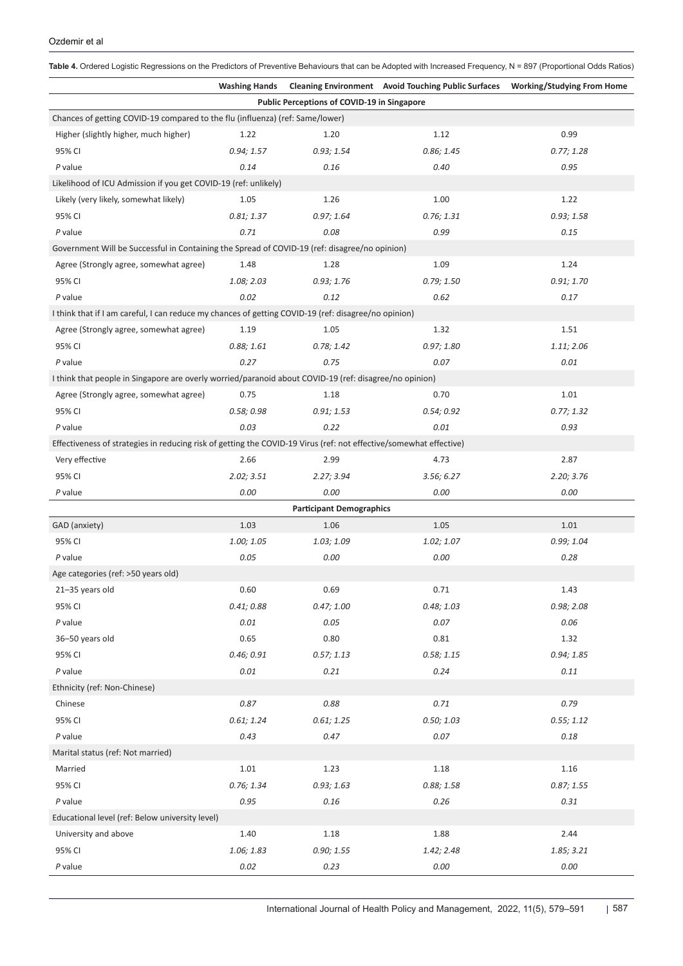<span id="page-8-0"></span>

|                                                                                                                    |                      |            |                                                                                | Table 4. Ordered Logistic Regressions on the Predictors of Preventive Behaviours that can be Adopted with Increased Frequency, N = 897 (Proportional Odds Ratios) |  |  |  |  |  |
|--------------------------------------------------------------------------------------------------------------------|----------------------|------------|--------------------------------------------------------------------------------|-------------------------------------------------------------------------------------------------------------------------------------------------------------------|--|--|--|--|--|
|                                                                                                                    | <b>Washing Hands</b> |            | Cleaning Environment Avoid Touching Public Surfaces Working/Studying From Home |                                                                                                                                                                   |  |  |  |  |  |
| Public Perceptions of COVID-19 in Singapore                                                                        |                      |            |                                                                                |                                                                                                                                                                   |  |  |  |  |  |
| Chances of getting COVID-19 compared to the flu (influenza) (ref: Same/lower)                                      |                      |            |                                                                                |                                                                                                                                                                   |  |  |  |  |  |
| Higher (slightly higher, much higher)                                                                              | 1.22                 | 1.20       | 1.12                                                                           | 0.99                                                                                                                                                              |  |  |  |  |  |
| 95% CI                                                                                                             | 0.94; 1.57           | 0.93; 1.54 | 0.86; 1.45                                                                     | 0.77; 1.28                                                                                                                                                        |  |  |  |  |  |
| P value                                                                                                            | 0.14                 | 0.16       | 0.40                                                                           | 0.95                                                                                                                                                              |  |  |  |  |  |
| Likelihood of ICU Admission if you get COVID-19 (ref: unlikely)                                                    |                      |            |                                                                                |                                                                                                                                                                   |  |  |  |  |  |
| Likely (very likely, somewhat likely)                                                                              | 1.05                 | 1.26       | 1.00                                                                           | 1.22                                                                                                                                                              |  |  |  |  |  |
| 95% CI                                                                                                             | 0.81; 1.37           | 0.97; 1.64 | 0.76; 1.31                                                                     | 0.93; 1.58                                                                                                                                                        |  |  |  |  |  |
| P value                                                                                                            | 0.71                 | 0.08       | 0.99                                                                           | 0.15                                                                                                                                                              |  |  |  |  |  |
| Government Will be Successful in Containing the Spread of COVID-19 (ref: disagree/no opinion)                      |                      |            |                                                                                |                                                                                                                                                                   |  |  |  |  |  |
| Agree (Strongly agree, somewhat agree)                                                                             | 1.48                 | 1.28       | 1.09                                                                           | 1.24                                                                                                                                                              |  |  |  |  |  |
| 95% CI                                                                                                             | 1.08; 2.03           | 0.93; 1.76 | 0.79; 1.50                                                                     | 0.91; 1.70                                                                                                                                                        |  |  |  |  |  |
| P value                                                                                                            | 0.02                 | 0.12       | 0.62                                                                           | 0.17                                                                                                                                                              |  |  |  |  |  |
| I think that if I am careful, I can reduce my chances of getting COVID-19 (ref: disagree/no opinion)               |                      |            |                                                                                |                                                                                                                                                                   |  |  |  |  |  |
| Agree (Strongly agree, somewhat agree)                                                                             | 1.19                 | 1.05       | 1.32                                                                           | 1.51                                                                                                                                                              |  |  |  |  |  |
| 95% CI                                                                                                             | 0.88; 1.61           | 0.78; 1.42 | 0.97; 1.80                                                                     | 1.11; 2.06                                                                                                                                                        |  |  |  |  |  |
| P value                                                                                                            | 0.27                 | 0.75       | 0.07                                                                           | 0.01                                                                                                                                                              |  |  |  |  |  |
| I think that people in Singapore are overly worried/paranoid about COVID-19 (ref: disagree/no opinion)             |                      |            |                                                                                |                                                                                                                                                                   |  |  |  |  |  |
| Agree (Strongly agree, somewhat agree)                                                                             | 0.75                 | 1.18       | 0.70                                                                           | 1.01                                                                                                                                                              |  |  |  |  |  |
| 95% CI                                                                                                             | 0.58; 0.98           | 0.91; 1.53 | 0.54; 0.92                                                                     | 0.77; 1.32                                                                                                                                                        |  |  |  |  |  |
| P value                                                                                                            | 0.03                 | 0.22       | 0.01                                                                           | 0.93                                                                                                                                                              |  |  |  |  |  |
| Effectiveness of strategies in reducing risk of getting the COVID-19 Virus (ref: not effective/somewhat effective) |                      |            |                                                                                |                                                                                                                                                                   |  |  |  |  |  |
| Very effective                                                                                                     | 2.66                 | 2.99       | 4.73                                                                           | 2.87                                                                                                                                                              |  |  |  |  |  |
| 95% CI                                                                                                             | 2.02; 3.51           | 2.27; 3.94 | 3.56; 6.27                                                                     | 2.20; 3.76                                                                                                                                                        |  |  |  |  |  |
| P value                                                                                                            | 0.00                 | 0.00       | 0.00                                                                           | 0.00                                                                                                                                                              |  |  |  |  |  |
| <b>Participant Demographics</b>                                                                                    |                      |            |                                                                                |                                                                                                                                                                   |  |  |  |  |  |
| GAD (anxiety)                                                                                                      | 1.03                 | 1.06       | 1.05                                                                           | 1.01                                                                                                                                                              |  |  |  |  |  |
| 95% CI                                                                                                             | 1.00; 1.05           | 1.03; 1.09 | 1.02; 1.07                                                                     | 0.99; 1.04                                                                                                                                                        |  |  |  |  |  |
| P value                                                                                                            | 0.05                 | 0.00       | 0.00                                                                           | 0.28                                                                                                                                                              |  |  |  |  |  |
| Age categories (ref: >50 years old)                                                                                |                      |            |                                                                                |                                                                                                                                                                   |  |  |  |  |  |
| 21-35 years old                                                                                                    | 0.60                 | 0.69       | 0.71                                                                           | 1.43                                                                                                                                                              |  |  |  |  |  |
| 95% CI                                                                                                             | 0.41; 0.88           | 0.47; 1.00 | 0.48; 1.03                                                                     | 0.98; 2.08                                                                                                                                                        |  |  |  |  |  |
| $P$ value                                                                                                          | 0.01                 | 0.05       | 0.07                                                                           | 0.06                                                                                                                                                              |  |  |  |  |  |
| 36-50 years old                                                                                                    | 0.65                 | 0.80       | 0.81                                                                           | 1.32                                                                                                                                                              |  |  |  |  |  |
| 95% CI                                                                                                             | 0.46; 0.91           | 0.57; 1.13 | 0.58; 1.15                                                                     | 0.94; 1.85                                                                                                                                                        |  |  |  |  |  |
| $P$ value                                                                                                          | 0.01                 | 0.21       | 0.24                                                                           | 0.11                                                                                                                                                              |  |  |  |  |  |
| Ethnicity (ref: Non-Chinese)                                                                                       |                      |            |                                                                                |                                                                                                                                                                   |  |  |  |  |  |
| Chinese                                                                                                            | $0.87\,$             | 0.88       | 0.71                                                                           | 0.79                                                                                                                                                              |  |  |  |  |  |
| 95% CI                                                                                                             | 0.61; 1.24           | 0.61; 1.25 | 0.50; 1.03                                                                     | 0.55; 1.12                                                                                                                                                        |  |  |  |  |  |
| P value                                                                                                            | 0.43                 | 0.47       | 0.07                                                                           | 0.18                                                                                                                                                              |  |  |  |  |  |
| Marital status (ref: Not married)                                                                                  |                      |            |                                                                                |                                                                                                                                                                   |  |  |  |  |  |
| Married                                                                                                            | 1.01                 | 1.23       | 1.18                                                                           | 1.16                                                                                                                                                              |  |  |  |  |  |
| 95% CI                                                                                                             | 0.76; 1.34           | 0.93; 1.63 | 0.88; 1.58                                                                     | 0.87; 1.55                                                                                                                                                        |  |  |  |  |  |
| $P$ value                                                                                                          | 0.95                 | 0.16       | 0.26                                                                           | 0.31                                                                                                                                                              |  |  |  |  |  |
| Educational level (ref: Below university level)                                                                    |                      |            |                                                                                |                                                                                                                                                                   |  |  |  |  |  |
| University and above                                                                                               | 1.40                 | 1.18       | 1.88                                                                           | 2.44                                                                                                                                                              |  |  |  |  |  |
| 95% CI                                                                                                             | 1.06; 1.83           | 0.90; 1.55 | 1.42; 2.48                                                                     | 1.85; 3.21                                                                                                                                                        |  |  |  |  |  |
| $P$ value                                                                                                          | 0.02                 | 0.23       | 0.00                                                                           | 0.00                                                                                                                                                              |  |  |  |  |  |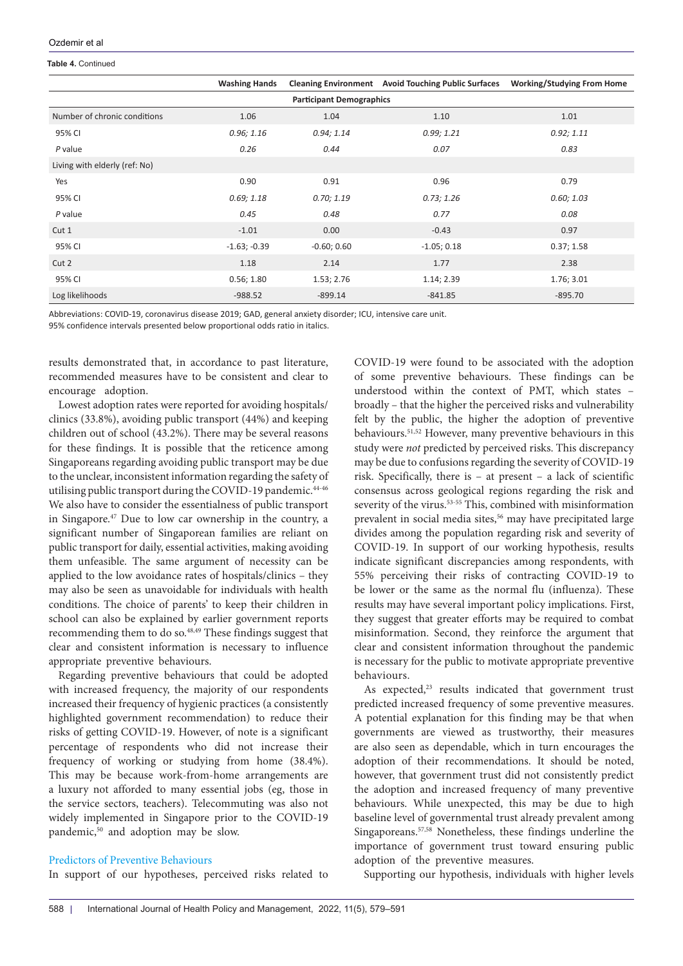#### **Table 4.** Continued

|                                 | <b>Washing Hands</b> | <b>Cleaning Environment</b> | <b>Avoid Touching Public Surfaces</b> | <b>Working/Studying From Home</b> |  |  |  |  |
|---------------------------------|----------------------|-----------------------------|---------------------------------------|-----------------------------------|--|--|--|--|
| <b>Participant Demographics</b> |                      |                             |                                       |                                   |  |  |  |  |
| Number of chronic conditions    | 1.06                 | 1.04                        | 1.10                                  | 1.01                              |  |  |  |  |
| 95% CI                          | 0.96; 1.16           | 0.94; 1.14                  | 0.99; 1.21                            | 0.92; 1.11                        |  |  |  |  |
| P value                         | 0.26                 | 0.44                        | 0.07                                  | 0.83                              |  |  |  |  |
| Living with elderly (ref: No)   |                      |                             |                                       |                                   |  |  |  |  |
| Yes                             | 0.90                 | 0.91                        | 0.96                                  | 0.79                              |  |  |  |  |
| 95% CI                          | 0.69; 1.18           | 0.70; 1.19                  | 0.73; 1.26                            | 0.60; 1.03                        |  |  |  |  |
| P value                         | 0.45                 | 0.48                        | 0.77                                  | 0.08                              |  |  |  |  |
| Cut 1                           | $-1.01$              | 0.00                        | $-0.43$                               | 0.97                              |  |  |  |  |
| 95% CI                          | $-1.63; -0.39$       | $-0.60; 0.60$               | $-1.05; 0.18$                         | 0.37; 1.58                        |  |  |  |  |
| Cut 2                           | 1.18                 | 2.14                        | 1.77                                  | 2.38                              |  |  |  |  |
| 95% CI                          | 0.56; 1.80           | 1.53; 2.76                  | 1.14; 2.39                            | 1.76; 3.01                        |  |  |  |  |
| Log likelihoods                 | $-988.52$            | $-899.14$                   | $-841.85$                             | $-895.70$                         |  |  |  |  |

Abbreviations: COVID-19, coronavirus disease 2019; GAD, general anxiety disorder; ICU, intensive care unit.

95% confidence intervals presented below proportional odds ratio in italics.

results demonstrated that, in accordance to past literature, recommended measures have to be consistent and clear to encourage adoption.

Lowest adoption rates were reported for avoiding hospitals/ clinics (33.8%), avoiding public transport (44%) and keeping children out of school (43.2%). There may be several reasons for these findings. It is possible that the reticence among Singaporeans regarding avoiding public transport may be due to the unclear, inconsistent information regarding the safety of utilising public transport during the COVID-19 pandemic.<sup>44-46</sup> We also have to consider the essentialness of public transport in Singapore.47 Due to low car ownership in the country, a significant number of Singaporean families are reliant on public transport for daily, essential activities, making avoiding them unfeasible. The same argument of necessity can be applied to the low avoidance rates of hospitals/clinics – they may also be seen as unavoidable for individuals with health conditions. The choice of parents' to keep their children in school can also be explained by earlier government reports recommending them to do so.48,49 These findings suggest that clear and consistent information is necessary to influence appropriate preventive behaviours.

Regarding preventive behaviours that could be adopted with increased frequency, the majority of our respondents increased their frequency of hygienic practices (a consistently highlighted government recommendation) to reduce their risks of getting COVID-19. However, of note is a significant percentage of respondents who did not increase their frequency of working or studying from home (38.4%). This may be because work-from-home arrangements are a luxury not afforded to many essential jobs (eg, those in the service sectors, teachers). Telecommuting was also not widely implemented in Singapore prior to the COVID-19 pandemic,<sup>50</sup> and adoption may be slow.

## Predictors of Preventive Behaviours

In support of our hypotheses, perceived risks related to

COVID-19 were found to be associated with the adoption of some preventive behaviours. These findings can be understood within the context of PMT, which states – broadly – that the higher the perceived risks and vulnerability felt by the public, the higher the adoption of preventive behaviours.51,52 However, many preventive behaviours in this study were *not* predicted by perceived risks. This discrepancy may be due to confusions regarding the severity of COVID-19 risk. Specifically, there is – at present – a lack of scientific consensus across geological regions regarding the risk and severity of the virus.<sup>53-55</sup> This, combined with misinformation prevalent in social media sites,<sup>56</sup> may have precipitated large divides among the population regarding risk and severity of COVID-19. In support of our working hypothesis, results indicate significant discrepancies among respondents, with 55% perceiving their risks of contracting COVID-19 to be lower or the same as the normal flu (influenza). These results may have several important policy implications. First, they suggest that greater efforts may be required to combat misinformation. Second, they reinforce the argument that clear and consistent information throughout the pandemic is necessary for the public to motivate appropriate preventive behaviours.

As expected,<sup>23</sup> results indicated that government trust predicted increased frequency of some preventive measures. A potential explanation for this finding may be that when governments are viewed as trustworthy, their measures are also seen as dependable, which in turn encourages the adoption of their recommendations. It should be noted, however, that government trust did not consistently predict the adoption and increased frequency of many preventive behaviours. While unexpected, this may be due to high baseline level of governmental trust already prevalent among Singaporeans.57,58 Nonetheless, these findings underline the importance of government trust toward ensuring public adoption of the preventive measures.

Supporting our hypothesis, individuals with higher levels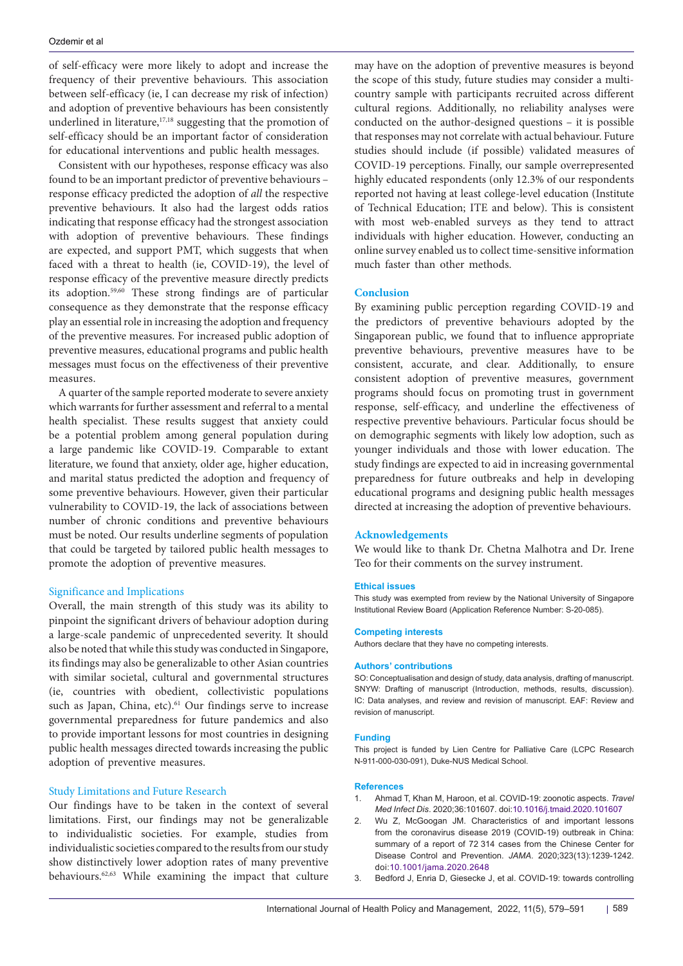of self-efficacy were more likely to adopt and increase the frequency of their preventive behaviours. This association between self-efficacy (ie, I can decrease my risk of infection) and adoption of preventive behaviours has been consistently underlined in literature,<sup>17,18</sup> suggesting that the promotion of self-efficacy should be an important factor of consideration for educational interventions and public health messages.

Consistent with our hypotheses, response efficacy was also found to be an important predictor of preventive behaviours – response efficacy predicted the adoption of *all* the respective preventive behaviours. It also had the largest odds ratios indicating that response efficacy had the strongest association with adoption of preventive behaviours. These findings are expected, and support PMT, which suggests that when faced with a threat to health (ie, COVID-19), the level of response efficacy of the preventive measure directly predicts its adoption.59,60 These strong findings are of particular consequence as they demonstrate that the response efficacy play an essential role in increasing the adoption and frequency of the preventive measures. For increased public adoption of preventive measures, educational programs and public health messages must focus on the effectiveness of their preventive measures.

A quarter of the sample reported moderate to severe anxiety which warrants for further assessment and referral to a mental health specialist. These results suggest that anxiety could be a potential problem among general population during a large pandemic like COVID-19. Comparable to extant literature, we found that anxiety, older age, higher education, and marital status predicted the adoption and frequency of some preventive behaviours. However, given their particular vulnerability to COVID-19, the lack of associations between number of chronic conditions and preventive behaviours must be noted. Our results underline segments of population that could be targeted by tailored public health messages to promote the adoption of preventive measures.

## Significance and Implications

Overall, the main strength of this study was its ability to pinpoint the significant drivers of behaviour adoption during a large-scale pandemic of unprecedented severity. It should also be noted that while this study was conducted in Singapore, its findings may also be generalizable to other Asian countries with similar societal, cultural and governmental structures (ie, countries with obedient, collectivistic populations such as Japan, China, etc).<sup>61</sup> Our findings serve to increase governmental preparedness for future pandemics and also to provide important lessons for most countries in designing public health messages directed towards increasing the public adoption of preventive measures.

## Study Limitations and Future Research

Our findings have to be taken in the context of several limitations. First, our findings may not be generalizable to individualistic societies. For example, studies from individualistic societies compared to the results from our study show distinctively lower adoption rates of many preventive behaviours.62,63 While examining the impact that culture may have on the adoption of preventive measures is beyond the scope of this study, future studies may consider a multicountry sample with participants recruited across different cultural regions. Additionally, no reliability analyses were conducted on the author-designed questions – it is possible that responses may not correlate with actual behaviour. Future studies should include (if possible) validated measures of COVID-19 perceptions. Finally, our sample overrepresented highly educated respondents (only 12.3% of our respondents reported not having at least college-level education (Institute of Technical Education; ITE and below). This is consistent with most web-enabled surveys as they tend to attract individuals with higher education. However, conducting an online survey enabled us to collect time-sensitive information much faster than other methods.

#### **Conclusion**

By examining public perception regarding COVID-19 and the predictors of preventive behaviours adopted by the Singaporean public, we found that to influence appropriate preventive behaviours, preventive measures have to be consistent, accurate, and clear. Additionally, to ensure consistent adoption of preventive measures, government programs should focus on promoting trust in government response, self-efficacy, and underline the effectiveness of respective preventive behaviours. Particular focus should be on demographic segments with likely low adoption, such as younger individuals and those with lower education. The study findings are expected to aid in increasing governmental preparedness for future outbreaks and help in developing educational programs and designing public health messages directed at increasing the adoption of preventive behaviours.

#### **Acknowledgements**

We would like to thank Dr. Chetna Malhotra and Dr. Irene Teo for their comments on the survey instrument.

#### **Ethical issues**

This study was exempted from review by the National University of Singapore Institutional Review Board (Application Reference Number: S-20-085).

#### **Competing interests**

Authors declare that they have no competing interests.

#### **Authors' contributions**

SO: Conceptualisation and design of study, data analysis, drafting of manuscript. SNYW: Drafting of manuscript (Introduction, methods, results, discussion). IC: Data analyses, and review and revision of manuscript. EAF: Review and revision of manuscript.

#### **Funding**

This project is funded by Lien Centre for Palliative Care (LCPC Research N-911-000-030-091), Duke-NUS Medical School.

#### **References**

- 1. Ahmad T, Khan M, Haroon, et al. COVID-19: zoonotic aspects. *Travel Med Infect Dis*. 2020;36:101607. doi:[10.1016/j.tmaid.2020.101607](https://doi.org/10.1016/j.tmaid.2020.101607)
- 2. Wu Z, McGoogan JM. Characteristics of and important lessons from the coronavirus disease 2019 (COVID-19) outbreak in China: summary of a report of 72 314 cases from the Chinese Center for Disease Control and Prevention. *JAMA*. 2020;323(13):1239-1242. doi:[10.1001/jama.2020.2648](https://doi.org/10.1001/jama.2020.2648)
- 3. Bedford J, Enria D, Giesecke J, et al. COVID-19: towards controlling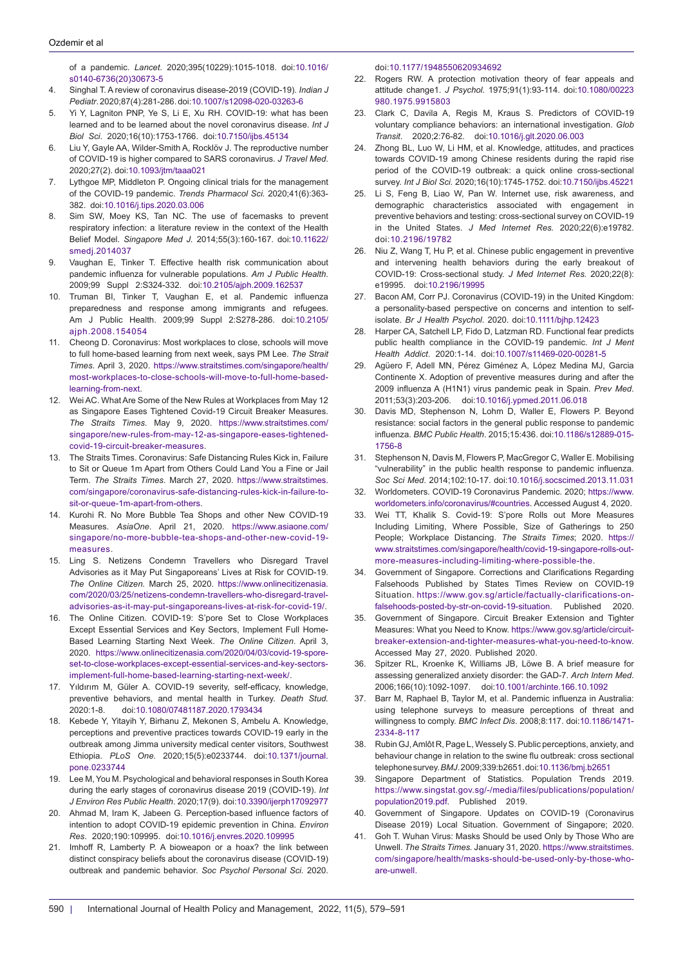of a pandemic. *Lancet*. 2020;395(10229):1015-1018. doi[:10.1016/](https://doi.org/10.1016/s0140-6736(20)30673-5) [s0140-6736\(20\)30673-5](https://doi.org/10.1016/s0140-6736(20)30673-5)

- 4. Singhal T. A review of coronavirus disease-2019 (COVID-19). *Indian J Pediatr*. 2020;87(4):281-286. doi:[10.1007/s12098-020-03263-6](https://doi.org/10.1007/s12098-020-03263-6)
- 5. Yi Y, Lagniton PNP, Ye S, Li E, Xu RH. COVID-19: what has been learned and to be learned about the novel coronavirus disease. *Int J Biol Sci*. 2020;16(10):1753-1766. doi[:10.7150/ijbs.45134](https://doi.org/10.7150/ijbs.45134)
- 6. Liu Y, Gayle AA, Wilder-Smith A, Rocklöv J. The reproductive number of COVID-19 is higher compared to SARS coronavirus. *J Travel Med*. 2020;27(2). doi:[10.1093/jtm/taaa021](https://doi.org/10.1093/jtm/taaa021)
- 7. Lythgoe MP, Middleton P. Ongoing clinical trials for the management of the COVID-19 pandemic. *Trends Pharmacol Sci.* 2020;41(6):363- 382. doi:[10.1016/j.tips.2020.03.006](https://doi.org/10.1016/j.tips.2020.03.006)
- 8. Sim SW, Moey KS, Tan NC. The use of facemasks to prevent respiratory infection: a literature review in the context of the Health Belief Model. *Singapore Med J.* 2014;55(3):160-167. doi:[10.11622/](https://doi.org/10.11622/smedj.2014037) smedi.2014037
- 9. Vaughan E, Tinker T. Effective health risk communication about pandemic influenza for vulnerable populations. *Am J Public Health*. 2009;99 Suppl 2:S324-332. doi[:10.2105/ajph.2009.162537](https://doi.org/10.2105/ajph.2009.162537)
- 10. Truman BI, Tinker T, Vaughan E, et al. Pandemic influenza preparedness and response among immigrants and refugees. Am J Public Health. 2009;99 Suppl 2:S278-286. doi[:10.2105/](https://doi.org/10.2105/ajph.2008.154054) [ajph.2008.154054](https://doi.org/10.2105/ajph.2008.154054)
- 11. Cheong D. Coronavirus: Most workplaces to close, schools will move to full home-based learning from next week, says PM Lee. *The Strait Times.* April 3, 2020. [https://www.straitstimes.com/singapore/health/](https://www.straitstimes.com/singapore/health/most-workplaces-to-close-schools-will-move-to-full-home-based-learning-from-next) [most-workplaces-to-close-schools-will-move-to-full-home-based](https://www.straitstimes.com/singapore/health/most-workplaces-to-close-schools-will-move-to-full-home-based-learning-from-next)[learning-from-next.](https://www.straitstimes.com/singapore/health/most-workplaces-to-close-schools-will-move-to-full-home-based-learning-from-next)
- 12. Wei AC. What Are Some of the New Rules at Workplaces from May 12 as Singapore Eases Tightened Covid-19 Circuit Breaker Measures. *The Straits Times*. May 9, 2020. [https://www.straitstimes.com/](https://www.straitstimes.com/singapore/new-rules-from-may-12-as-singapore-eases-tightened-covid-19-circuit-breaker-measures) [singapore/new-rules-from-may-12-as-singapore-eases-tightened](https://www.straitstimes.com/singapore/new-rules-from-may-12-as-singapore-eases-tightened-covid-19-circuit-breaker-measures)[covid-19-circuit-breaker-measures.](https://www.straitstimes.com/singapore/new-rules-from-may-12-as-singapore-eases-tightened-covid-19-circuit-breaker-measures)
- The Straits Times. Coronavirus: Safe Distancing Rules Kick in, Failure to Sit or Queue 1m Apart from Others Could Land You a Fine or Jail Term. *The Straits Times*. March 27, 2020. [https://www.straitstimes.](https://www.straitstimes.com/singapore/coronavirus-safe-distancing-rules-kick-in-failure-to-sit-or-queue-1m-apart-from-others) [com/singapore/coronavirus-safe-distancing-rules-kick-in-failure-to](https://www.straitstimes.com/singapore/coronavirus-safe-distancing-rules-kick-in-failure-to-sit-or-queue-1m-apart-from-others)[sit-or-queue-1m-apart-from-others.](https://www.straitstimes.com/singapore/coronavirus-safe-distancing-rules-kick-in-failure-to-sit-or-queue-1m-apart-from-others)
- 14. Kurohi R. No More Bubble Tea Shops and other New COVID-19 Measures. *AsiaOne*. April 21, 2020. [https://www.asiaone.com/](https://www.asiaone.com/singapore/no-more-bubble-tea-shops-and-other-new-covid-19-measures) [singapore/no-more-bubble-tea-shops-and-other-new-covid-19](https://www.asiaone.com/singapore/no-more-bubble-tea-shops-and-other-new-covid-19-measures) [measures](https://www.asiaone.com/singapore/no-more-bubble-tea-shops-and-other-new-covid-19-measures).
- 15. Ling S. Netizens Condemn Travellers who Disregard Travel Advisories as it May Put Singaporeans' Lives at Risk for COVID-19. *The Online Citizen.* March 25, 2020. [https://www.onlinecitizenasia.](https://www.onlinecitizenasia.com/2020/03/25/netizens-condemn-travellers-who-disregard-travel-advisories-as-it-may-put-singaporeans-lives-at-risk-for-covid-19/) [com/2020/03/25/netizens-condemn-travellers-who-disregard-travel](https://www.onlinecitizenasia.com/2020/03/25/netizens-condemn-travellers-who-disregard-travel-advisories-as-it-may-put-singaporeans-lives-at-risk-for-covid-19/)[advisories-as-it-may-put-singaporeans-lives-at-risk-for-covid-19/](https://www.onlinecitizenasia.com/2020/03/25/netizens-condemn-travellers-who-disregard-travel-advisories-as-it-may-put-singaporeans-lives-at-risk-for-covid-19/).
- 16. The Online Citizen. COVID-19: S'pore Set to Close Workplaces Except Essential Services and Key Sectors, Implement Full Home-Based Learning Starting Next Week. *The Online Citizen*. April 3, 2020. [https://www.onlinecitizenasia.com/2020/04/03/covid-19-spore](https://www.onlinecitizenasia.com/2020/04/03/covid-19-spore-set-to-close-workplaces-except-essential-services-and-key-sectors-implement-full-home-based-learning-starting-next-week/)[set-to-close-workplaces-except-essential-services-and-key-sectors](https://www.onlinecitizenasia.com/2020/04/03/covid-19-spore-set-to-close-workplaces-except-essential-services-and-key-sectors-implement-full-home-based-learning-starting-next-week/)[implement-full-home-based-learning-starting-next-week/.](https://www.onlinecitizenasia.com/2020/04/03/covid-19-spore-set-to-close-workplaces-except-essential-services-and-key-sectors-implement-full-home-based-learning-starting-next-week/)
- 17. Yıldırım M, Güler A. COVID-19 severity, self-efficacy, knowledge, preventive behaviors, and mental health in Turkey. *Death Stud.* 2020:1-8. doi[:10.1080/07481187.2020.1793434](https://doi.org/10.1080/07481187.2020.1793434)
- 18. Kebede Y, Yitayih Y, Birhanu Z, Mekonen S, Ambelu A. Knowledge, perceptions and preventive practices towards COVID-19 early in the outbreak among Jimma university medical center visitors, Southwest Ethiopia. *PLoS One.* 2020;15(5):e0233744. doi[:10.1371/journal.](https://doi.org/10.1371/journal.pone.0233744) [pone.0233744](https://doi.org/10.1371/journal.pone.0233744)
- 19. Lee M, You M. Psychological and behavioral responses in South Korea during the early stages of coronavirus disease 2019 (COVID-19). *Int J Environ Res Public Health*. 2020;17(9). doi:10.3390/ijerph17092977
- 20. Ahmad M, Iram K, Jabeen G. Perception-based influence factors of intention to adopt COVID-19 epidemic prevention in China. *Environ Res*. 2020;190:109995. doi:[10.1016/j.envres.2020.109995](https://doi.org/10.1016/j.envres.2020.109995)
- 21. Imhoff R, Lamberty P. A bioweapon or a hoax? the link between distinct conspiracy beliefs about the coronavirus disease (COVID-19) outbreak and pandemic behavior. *Soc Psychol Personal Sci.* 2020.

doi:[10.1177/1948550620934692](https://doi.org/10.1177/1948550620934692)

- 22. Rogers RW. A protection motivation theory of fear appeals and attitude change1. *J Psychol.* 1975;91(1):93-114. doi[:10.1080/00223](https://doi.org/10.1080/00223980.1975.9915803) [980.1975.9915803](https://doi.org/10.1080/00223980.1975.9915803)
- 23. Clark C, Davila A, Regis M, Kraus S. Predictors of COVID-19 voluntary compliance behaviors: an international investigation. *Glob Transit*. 2020;2:76-82. doi:[10.1016/j.glt.2020.06.003](https://doi.org/10.1016/j.glt.2020.06.003)
- 24. Zhong BL, Luo W, Li HM, et al. Knowledge, attitudes, and practices towards COVID-19 among Chinese residents during the rapid rise period of the COVID-19 outbreak: a quick online cross-sectional survey. *Int J Biol Sci.* 2020;16(10):1745-1752. doi[:10.7150/ijbs.45221](https://doi.org/10.7150/ijbs.45221)
- 25. Li S, Feng B, Liao W, Pan W. Internet use, risk awareness, and demographic characteristics associated with engagement in preventive behaviors and testing: cross-sectional survey on COVID-19 in the United States. *J Med Internet Res.* 2020;22(6):e19782. doi:[10.2196/19782](https://doi.org/10.2196/19782)
- 26. Niu Z, Wang T, Hu P, et al. Chinese public engagement in preventive and intervening health behaviors during the early breakout of COVID-19: Cross-sectional study. *J Med Internet Res.* 2020;22(8): e19995. doi[:10.2196/19995](https://doi.org/10.2196/19995 )
- 27. Bacon AM, Corr PJ. Coronavirus (COVID-19) in the United Kingdom: a personality-based perspective on concerns and intention to selfisolate. *Br J Health Psychol*. 2020. doi:[10.1111/bjhp.12423](https://doi.org/10.1111/bjhp.12423)
- 28. Harper CA, Satchell LP, Fido D, Latzman RD. Functional fear predicts public health compliance in the COVID-19 pandemic. *Int J Ment Health Addict*. 2020:1-14. doi:[10.1007/s11469-020-00281-5](https://doi.org/10.1007/s11469-020-00281-5)
- 29. Agüero F, Adell MN, Pérez Giménez A, López Medina MJ, Garcia Continente X. Adoption of preventive measures during and after the 2009 influenza A (H1N1) virus pandemic peak in Spain. *Prev Med*. 2011;53(3):203-206. doi:[10.1016/j.ypmed.2011.06.018](https://doi.org/10.1016/j.ypmed.2011.06.018)
- 30. Davis MD, Stephenson N, Lohm D, Waller E, Flowers P. Beyond resistance: social factors in the general public response to pandemic influenza. *BMC Public Health*. 2015;15:436. doi:[10.1186/s12889-015-](https://doi.org/10.1186/s12889-015-1756-8) [1756-8](https://doi.org/10.1186/s12889-015-1756-8)
- 31. Stephenson N, Davis M, Flowers P, MacGregor C, Waller E. Mobilising "vulnerability" in the public health response to pandemic influenza. *Soc Sci Med*. 2014;102:10-17. doi:[10.1016/j.socscimed.2013.11.031](https://doi.org/10.1016/j.socscimed.2013.11.031)
- 32. Worldometers. COVID-19 Coronavirus Pandemic. 2020; [https://www.](https://www.worldometers.info/coronavirus/#countries) [worldometers.info/coronavirus/#countries.](https://www.worldometers.info/coronavirus/#countries) Accessed August 4, 2020.
- 33. Wei TT, Khalik S. Covid-19: S'pore Rolls out More Measures Including Limiting, Where Possible, Size of Gatherings to 250 People; Workplace Distancing. *The Straits Times*; 2020. [https://](https://www.straitstimes.com/singapore/health/covid-19-singapore-rolls-out-more-measures-including-limiting-where-possible-the) [www.straitstimes.com/singapore/health/covid-19-singapore-rolls-out](https://www.straitstimes.com/singapore/health/covid-19-singapore-rolls-out-more-measures-including-limiting-where-possible-the)[more-measures-including-limiting-where-possible-the.](https://www.straitstimes.com/singapore/health/covid-19-singapore-rolls-out-more-measures-including-limiting-where-possible-the)
- 34. Government of Singapore. Corrections and Clarifications Regarding Falsehoods Published by States Times Review on COVID-19 Situation. [https://www.gov.sg/article/factually-clarifications-on](https://www.gov.sg/article/factually-clarifications-on-falsehoods-posted-by-str-on-covid-19-situation)[falsehoods-posted-by-str-on-covid-19-situation.](https://www.gov.sg/article/factually-clarifications-on-falsehoods-posted-by-str-on-covid-19-situation) Published 2020.
- 35. Government of Singapore. Circuit Breaker Extension and Tighter Measures: What you Need to Know. [https://www.gov.sg/article/circuit](Ahmad T, Khan M, Haroon, et al. COVID-19: zoonotic aspects. Travel Med Infect Dis. 2020;36:101607. doi:10.1016/j.tmaid.2020.101607
Wu Z, McGoogan JM. Characteristics of and important lessons from the coronavirus disease 2019 (COVID-19) outbreak in China: summary of a report of 72 314 cases from the Chinese Center for Disease Control and Prevention. JAMA. 2020;323(13):1239-1242. doi:10.1001/jama.2020.2648
Bedford J, Enria D, Giesecke J, et al. COVID-19: towards controlling of a pandemic. Lancet. 2020;395(10229):1015-1018. doi:10.1016/s0140-6736(20)30673-5
Singhal T. A review of coronavirus disease-2019 (COVID-19). Indian J Pediatr. 2020;87(4):281-286. doi:10.1007/s12098-020-03263-6
Yi Y, Lagniton PNP, Ye S, Li E, Xu RH. COVID-19: what has been learned and to be learned about the novel coronavirus disease. Int J Biol Sci. 2020;16(10):1753-1766. doi:10.7150/ijbs.45134
Liu Y, Gayle AA, Wilder-Smith A, Rocklöv J. The reproductive number of COVID-19 is higher compared to SARS coronavirus. J Travel Med. 2020;27(2). doi:10.1093/jtm/taaa021
Lythgoe MP, Middleton P. Ongoing clinical trials for the management of the COVID-19 pandemic. Trends Pharmacol Sci. 2020;41(6):363-382. doi:10.1016/j.tips.2020.03.006
Sim SW, Moey KS, Tan NC. The use of facemasks to prevent respiratory infection: a literature review in the context of the Health Belief Model. Singapore Med J. 2014;55(3):160-167. doi:10.11622/smedj.2014037
Vaughan E, Tinker T. Effective health risk communication about pandemic influenza for vulnerable populations. Am J Public Health. 2009;99 Suppl 2:S324-332. doi:10.2105/ajph.2009.162537
Truman BI, Tinker T, Vaughan E, et al. Pandemic influenza preparedness and response among immigrants and refugees. Am J Public Health. 2009;99 Suppl 2:S278-286. doi:10.2105/ajph.2008.154054
Wei TT, Khalik S. Covid-19: S)[breaker-extension-and-tighter-measures-what-you-need-to-know.](Ahmad T, Khan M, Haroon, et al. COVID-19: zoonotic aspects. Travel Med Infect Dis. 2020;36:101607. doi:10.1016/j.tmaid.2020.101607
Wu Z, McGoogan JM. Characteristics of and important lessons from the coronavirus disease 2019 (COVID-19) outbreak in China: summary of a report of 72 314 cases from the Chinese Center for Disease Control and Prevention. JAMA. 2020;323(13):1239-1242. doi:10.1001/jama.2020.2648
Bedford J, Enria D, Giesecke J, et al. COVID-19: towards controlling of a pandemic. Lancet. 2020;395(10229):1015-1018. doi:10.1016/s0140-6736(20)30673-5
Singhal T. A review of coronavirus disease-2019 (COVID-19). Indian J Pediatr. 2020;87(4):281-286. doi:10.1007/s12098-020-03263-6
Yi Y, Lagniton PNP, Ye S, Li E, Xu RH. COVID-19: what has been learned and to be learned about the novel coronavirus disease. Int J Biol Sci. 2020;16(10):1753-1766. doi:10.7150/ijbs.45134
Liu Y, Gayle AA, Wilder-Smith A, Rocklöv J. The reproductive number of COVID-19 is higher compared to SARS coronavirus. J Travel Med. 2020;27(2). doi:10.1093/jtm/taaa021
Lythgoe MP, Middleton P. Ongoing clinical trials for the management of the COVID-19 pandemic. Trends Pharmacol Sci. 2020;41(6):363-382. doi:10.1016/j.tips.2020.03.006
Sim SW, Moey KS, Tan NC. The use of facemasks to prevent respiratory infection: a literature review in the context of the Health Belief Model. Singapore Med J. 2014;55(3):160-167. doi:10.11622/smedj.2014037
Vaughan E, Tinker T. Effective health risk communication about pandemic influenza for vulnerable populations. Am J Public Health. 2009;99 Suppl 2:S324-332. doi:10.2105/ajph.2009.162537
Truman BI, Tinker T, Vaughan E, et al. Pandemic influenza preparedness and response among immigrants and refugees. Am J Public Health. 2009;99 Suppl 2:S278-286. doi:10.2105/ajph.2008.154054
Wei TT, Khalik S. Covid-19: S) Accessed May 27, 2020. Published 2020.
- 36. Spitzer RL, Kroenke K, Williams JB, Löwe B. A brief measure for assessing generalized anxiety disorder: the GAD-7. *Arch Intern Med*. 2006;166(10):1092-1097. doi:[10.1001/archinte.166.10.1092](https://doi.org/10.1001/archinte.166.10.1092)
- 37. Barr M, Raphael B, Taylor M, et al. Pandemic influenza in Australia: using telephone surveys to measure perceptions of threat and willingness to comply. *BMC Infect Dis*. 2008;8:117. doi:[10.1186/1471-](https://doi.org/10.1186/1471-2334-8-117) [2334-8-117](https://doi.org/10.1186/1471-2334-8-117)
- 38. Rubin GJ, Amlôt R, Page L, Wessely S. Public perceptions, anxiety, and behaviour change in relation to the swine flu outbreak: cross sectional telephone survey. *BMJ*. 2009;339:b2651. doi:[10.1136/bmj.b2651](https://doi.org/10.1136/bmj.b2651)
- 39. Singapore Department of Statistics. Population Trends 2019. [https://www.singstat.gov.sg/-/media/files/publications/population/](https://www.singstat.gov.sg/-/media/files/publications/population/population2019.pdf) [population2019.pdf.](https://www.singstat.gov.sg/-/media/files/publications/population/population2019.pdf) Published 2019.
- 40. Government of Singapore. Updates on COVID-19 (Coronavirus Disease 2019) Local Situation. Government of Singapore; 2020.
- 41. Goh T. Wuhan Virus: Masks Should be used Only by Those Who are Unwell. *The Straits Times.* January 31, 2020. [https://www.straitstimes.](https://www.straitstimes.com/singapore/health/masks-should-be-used-only-by-those-who-are-unwell) [com/singapore/health/masks-should-be-used-only-by-those-who](https://www.straitstimes.com/singapore/health/masks-should-be-used-only-by-those-who-are-unwell)[are-unwell.](https://www.straitstimes.com/singapore/health/masks-should-be-used-only-by-those-who-are-unwell)